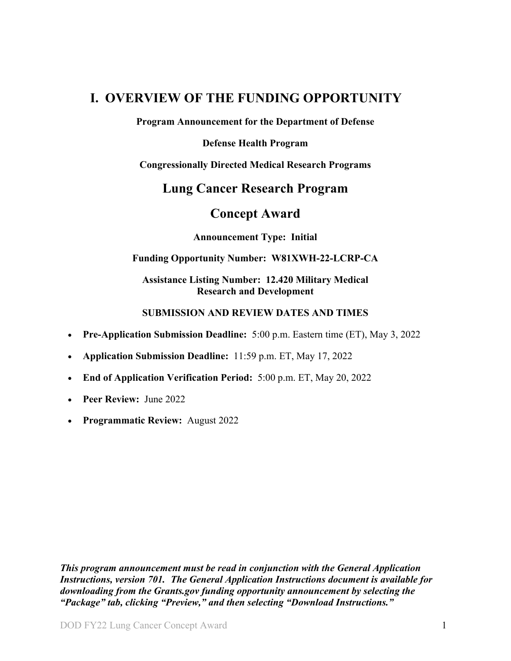## <span id="page-0-0"></span>**I. OVERVIEW OF THE FUNDING OPPORTUNITY**

**Program Announcement for the Department of Defense**

**Defense Health Program**

**Congressionally Directed Medical Research Programs**

## **Lung Cancer Research Program**

## **Concept Award**

**Announcement Type: Initial** 

#### **Funding Opportunity Number: W81XWH-22-LCRP-CA**

#### **Assistance Listing Number: 12.420 Military Medical Research and Development**

#### **SUBMISSION AND REVIEW DATES AND TIMES**

- <span id="page-0-1"></span>• **Pre-Application Submission Deadline:** 5:00 p.m. Eastern time (ET), May 3, 2022
- **Application Submission Deadline:** 11:59 p.m. ET, May 17, 2022
- **End of Application Verification Period:** 5:00 p.m. ET, May 20, 2022
- **Peer Review:** June 2022
- **Programmatic Review:** August 2022

*This program announcement must be read in conjunction with the General Application Instructions, version 701.**The General Application Instructions document is available for downloading from the Grants.gov funding opportunity announcement by selecting the "Package" tab, clicking "Preview," and then selecting "Download Instructions."*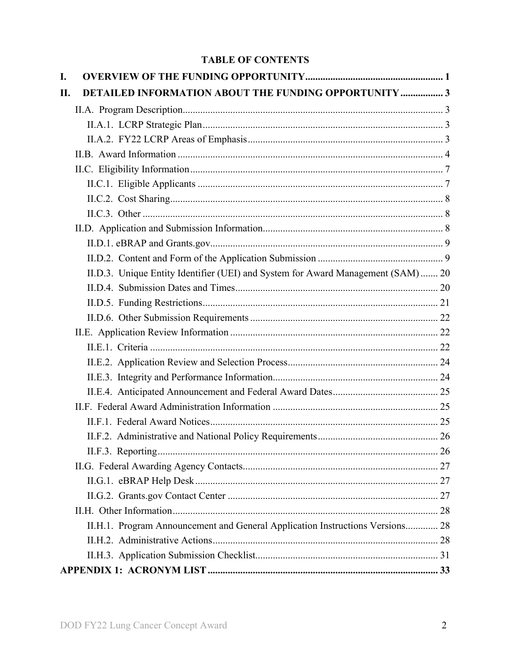## **TABLE OF CONTENTS**

| I.  |                                                                                  |  |
|-----|----------------------------------------------------------------------------------|--|
| II. | DETAILED INFORMATION ABOUT THE FUNDING OPPORTUNITY  3                            |  |
|     |                                                                                  |  |
|     |                                                                                  |  |
|     |                                                                                  |  |
|     |                                                                                  |  |
|     |                                                                                  |  |
|     |                                                                                  |  |
|     |                                                                                  |  |
|     |                                                                                  |  |
|     |                                                                                  |  |
|     |                                                                                  |  |
|     |                                                                                  |  |
|     | II.D.3. Unique Entity Identifier (UEI) and System for Award Management (SAM)  20 |  |
|     |                                                                                  |  |
|     |                                                                                  |  |
|     |                                                                                  |  |
|     |                                                                                  |  |
|     |                                                                                  |  |
|     |                                                                                  |  |
|     |                                                                                  |  |
|     |                                                                                  |  |
|     |                                                                                  |  |
|     |                                                                                  |  |
|     |                                                                                  |  |
|     |                                                                                  |  |
|     |                                                                                  |  |
|     |                                                                                  |  |
|     |                                                                                  |  |
|     |                                                                                  |  |
|     | II.H.1. Program Announcement and General Application Instructions Versions 28    |  |
|     |                                                                                  |  |
|     |                                                                                  |  |
|     |                                                                                  |  |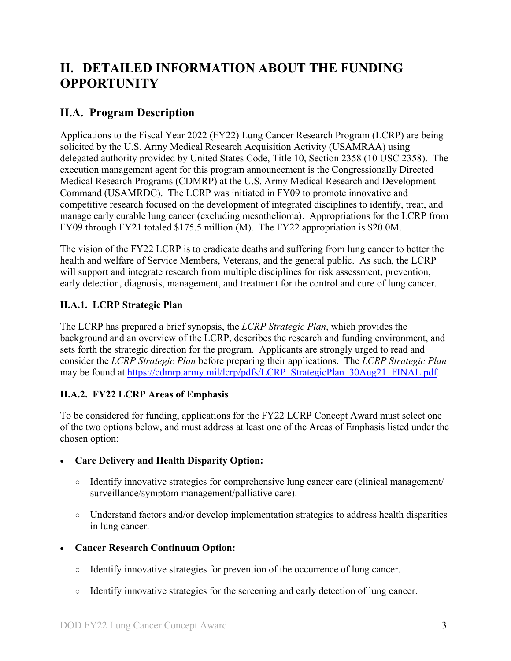# <span id="page-2-0"></span>**II. DETAILED INFORMATION ABOUT THE FUNDING OPPORTUNITY**

## <span id="page-2-1"></span>**II.A. Program Description**

Applications to the Fiscal Year 2022 (FY22) Lung Cancer Research Program (LCRP) are being solicited by the U.S. Army Medical Research Acquisition Activity (USAMRAA) using delegated authority provided by United States Code, Title 10, Section 2358 (10 USC 2358). The execution management agent for this program announcement is the Congressionally Directed Medical Research Programs (CDMRP) at the U.S. Army Medical Research and Development Command (USAMRDC). The LCRP was initiated in FY09 to promote innovative and competitive research focused on the development of integrated disciplines to identify, treat, and manage early curable lung cancer (excluding mesothelioma). Appropriations for the LCRP from FY09 through FY21 totaled \$175.5 million (M). The FY22 appropriation is \$20.0M.

The vision of the FY22 LCRP is to eradicate deaths and suffering from lung cancer to better the health and welfare of Service Members, Veterans, and the general public. As such, the LCRP will support and integrate research from multiple disciplines for risk assessment, prevention, early detection, diagnosis, management, and treatment for the control and cure of lung cancer.

## <span id="page-2-2"></span>**II.A.1. LCRP Strategic Plan**

The LCRP has prepared a brief synopsis, the *LCRP Strategic Plan*, which provides the background and an overview of the LCRP, describes the research and funding environment, and sets forth the strategic direction for the program. Applicants are strongly urged to read and consider the *LCRP Strategic Plan* before preparing their applications. The *LCRP Strategic Plan* may be found at [https://cdmrp.army.mil/lcrp/pdfs/LCRP\\_StrategicPlan\\_30Aug21\\_FINAL.pdf.](https://cdmrp.army.mil/lcrp/pdfs/LCRP_StrategicPlan_30Aug21_FINAL.pdf)

## <span id="page-2-3"></span>**II.A.2. FY22 LCRP Areas of Emphasis**

To be considered for funding, applications for the FY22 LCRP Concept Award must select one of the two options below, and must address at least one of the Areas of Emphasis listed under the chosen option:

#### • **Care Delivery and Health Disparity Option:**

- Identify innovative strategies for comprehensive lung cancer care (clinical management/ surveillance/symptom management/palliative care).
- Understand factors and/or develop implementation strategies to address health disparities in lung cancer.

#### • **Cancer Research Continuum Option:**

- Identify innovative strategies for prevention of the occurrence of lung cancer.
- Identify innovative strategies for the screening and early detection of lung cancer.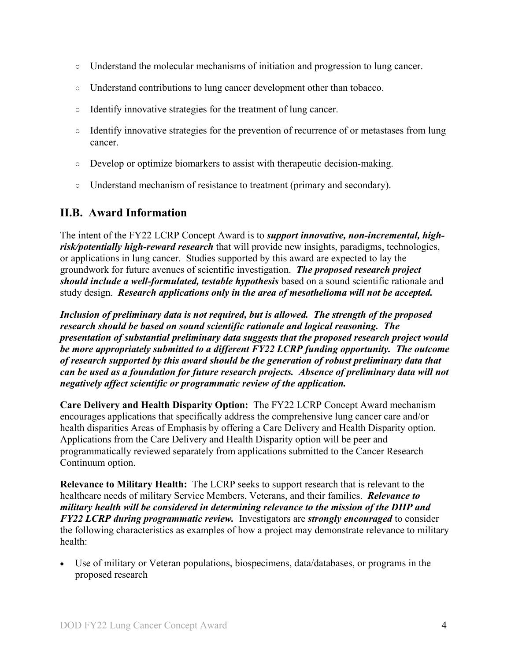- Understand the molecular mechanisms of initiation and progression to lung cancer.
- Understand contributions to lung cancer development other than tobacco.
- Identify innovative strategies for the treatment of lung cancer.
- Identify innovative strategies for the prevention of recurrence of or metastases from lung cancer.
- Develop or optimize biomarkers to assist with therapeutic decision-making.
- Understand mechanism of resistance to treatment (primary and secondary).

## <span id="page-3-0"></span>**II.B. Award Information**

The intent of the FY22 LCRP Concept Award is to *support innovative, non-incremental, highrisk/potentially high-reward research* that will provide new insights, paradigms, technologies, or applications in lung cancer. Studies supported by this award are expected to lay the groundwork for future avenues of scientific investigation. *The proposed research project should include a well-formulated, testable hypothesis* based on a sound scientific rationale and study design. *Research applications only in the area of mesothelioma will not be accepted.*

*Inclusion of preliminary data is not required, but is allowed. The strength of the proposed research should be based on sound scientific rationale and logical reasoning. The presentation of substantial preliminary data suggests that the proposed research project would be more appropriately submitted to a different FY22 LCRP funding opportunity. The outcome of research supported by this award should be the generation of robust preliminary data that can be used as a foundation for future research projects. Absence of preliminary data will not negatively affect scientific or programmatic review of the application.*

**Care Delivery and Health Disparity Option:** The FY22 LCRP Concept Award mechanism encourages applications that specifically address the comprehensive lung cancer care and/or health disparities Areas of Emphasis by offering a Care Delivery and Health Disparity option. Applications from the Care Delivery and Health Disparity option will be peer and programmatically reviewed separately from applications submitted to the Cancer Research Continuum option.

**Relevance to Military Health:** The LCRP seeks to support research that is relevant to the healthcare needs of military Service Members, Veterans, and their families. *Relevance to military health will be considered in determining relevance to the mission of the DHP and FY22 LCRP during programmatic review.* Investigators are *strongly encouraged* to consider the following characteristics as examples of how a project may demonstrate relevance to military health:

Use of military or Veteran populations, biospecimens, data/databases, or programs in the proposed research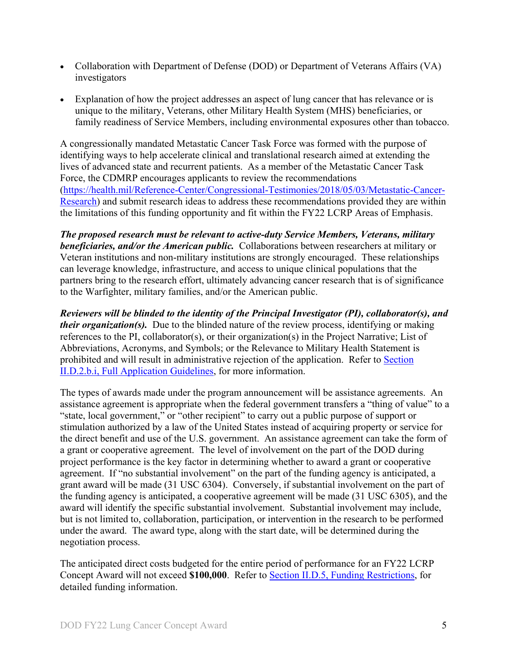- Collaboration with Department of Defense (DOD) or Department of Veterans Affairs (VA) investigators
- Explanation of how the project addresses an aspect of lung cancer that has relevance or is unique to the military, Veterans, other Military Health System (MHS) beneficiaries, or family readiness of Service Members, including environmental exposures other than tobacco.

A congressionally mandated Metastatic Cancer Task Force was formed with the purpose of identifying ways to help accelerate clinical and translational research aimed at extending the lives of advanced state and recurrent patients. As a member of the Metastatic Cancer Task Force, the CDMRP encourages applicants to review the recommendations [\(https://health.mil/Reference-Center/Congressional-Testimonies/2018/05/03/Metastatic-Cancer-](https://www.health.mil/Reference-Center/Congressional-Testimonies?refVector=001000000000000&refSrc=130)[Research\)](https://www.health.mil/Reference-Center/Congressional-Testimonies?refVector=001000000000000&refSrc=130) and submit research ideas to address these recommendations provided they are within the limitations of this funding opportunity and fit within the FY22 LCRP Areas of Emphasis.

*The proposed research must be relevant to active-duty Service Members, Veterans, military beneficiaries, and/or the American public.* Collaborations between researchers at military or Veteran institutions and non-military institutions are strongly encouraged. These relationships can leverage knowledge, infrastructure, and access to unique clinical populations that the partners bring to the research effort, ultimately advancing cancer research that is of significance to the Warfighter, military families, and/or the American public.

*Reviewers will be blinded to the identity of the Principal Investigator (PI), collaborator(s), and their organization(s).* Due to the blinded nature of the review process, identifying or making references to the PI, collaborator(s), or their organization(s) in the Project Narrative; List of Abbreviations, Acronyms, and Symbols; or the Relevance to Military Health Statement is prohibited and will result in administrative rejection of the application. Refer to [Section](#page-11-0)  [II.D.2.b.i, Full Application Guidelines,](#page-11-0) for more information.

The types of awards made under the program announcement will be assistance agreements. An assistance agreement is appropriate when the federal government transfers a "thing of value" to a "state, local government," or "other recipient" to carry out a public purpose of support or stimulation authorized by a law of the United States instead of acquiring property or service for the direct benefit and use of the U.S. government. An assistance agreement can take the form of a grant or cooperative agreement. The level of involvement on the part of the DOD during project performance is the key factor in determining whether to award a grant or cooperative agreement. If "no substantial involvement" on the part of the funding agency is anticipated, a grant award will be made (31 USC 6304). Conversely, if substantial involvement on the part of the funding agency is anticipated, a cooperative agreement will be made (31 USC 6305), and the award will identify the specific substantial involvement. Substantial involvement may include, but is not limited to, collaboration, participation, or intervention in the research to be performed under the award. The award type, along with the start date, will be determined during the negotiation process.

The anticipated direct costs budgeted for the entire period of performance for an FY22 LCRP Concept Award will not exceed **\$100,000**. Refer to Section [II.D.5, Funding Restrictions,](#page-20-0) for detailed funding information.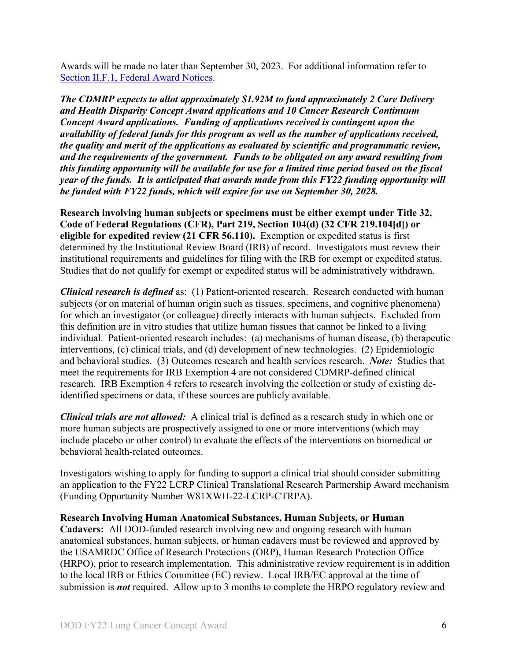Awards will be made no later than September 30, 2023. For additional information refer to [Section II.F.1, Federal Award Notices.](#page-24-2)

*The CDMRP expects to allot approximately \$1.92M to fund approximately 2 Care Delivery and Health Disparity Concept Award applications and 10 Cancer Research Continuum Concept Award applications. Funding of applications received is contingent upon the availability of federal funds for this program as well as the number of applications received, the quality and merit of the applications as evaluated by scientific and programmatic review, and the requirements of the government. Funds to be obligated on any award resulting from this funding opportunity will be available for use for a limited time period based on the fiscal year of the funds. It is anticipated that awards made from this FY22 funding opportunity will be funded with FY22 funds, which will expire for use on September 30, 2028.*

**Research involving human subjects or specimens must be either exempt under Title 32, Code of Federal Regulations (CFR), Part 219, Section 104(d) (32 CFR 219.104[d]) or eligible for expedited review (21 CFR 56.110).** Exemption or expedited status is first determined by the Institutional Review Board (IRB) of record. Investigators must review their institutional requirements and guidelines for filing with the IRB for exempt or expedited status. Studies that do not qualify for exempt or expedited status will be administratively withdrawn.

*Clinical research is defined* as: (1) Patient-oriented research. Research conducted with human subjects (or on material of human origin such as tissues, specimens, and cognitive phenomena) for which an investigator (or colleague) directly interacts with human subjects. Excluded from this definition are in vitro studies that utilize human tissues that cannot be linked to a living individual. Patient-oriented research includes: (a) mechanisms of human disease, (b) therapeutic interventions, (c) clinical trials, and (d) development of new technologies. (2) Epidemiologic and behavioral studies. (3) Outcomes research and health services research. *Note:* Studies that meet the requirements for IRB Exemption 4 are not considered CDMRP-defined clinical research. IRB Exemption 4 refers to research involving the collection or study of existing deidentified specimens or data, if these sources are publicly available.

*Clinical trials are not allowed:* A clinical trial is defined as a research study in which one or more human subjects are prospectively assigned to one or more interventions (which may include placebo or other control) to evaluate the effects of the interventions on biomedical or behavioral health-related outcomes.

Investigators wishing to apply for funding to support a clinical trial should consider submitting an application to the FY22 LCRP Clinical Translational Research Partnership Award mechanism (Funding Opportunity Number W81XWH-22-LCRP-CTRPA).

#### **Research Involving Human Anatomical Substances, Human Subjects, or Human**

**Cadavers:** All DOD-funded research involving new and ongoing research with human anatomical substances, human subjects, or human cadavers must be reviewed and approved by the USAMRDC Office of Research Protections (ORP), Human Research Protection Office (HRPO), prior to research implementation. This administrative review requirement is in addition to the local IRB or Ethics Committee (EC) review. Local IRB/EC approval at the time of submission is *not* required. Allow up to 3 months to complete the HRPO regulatory review and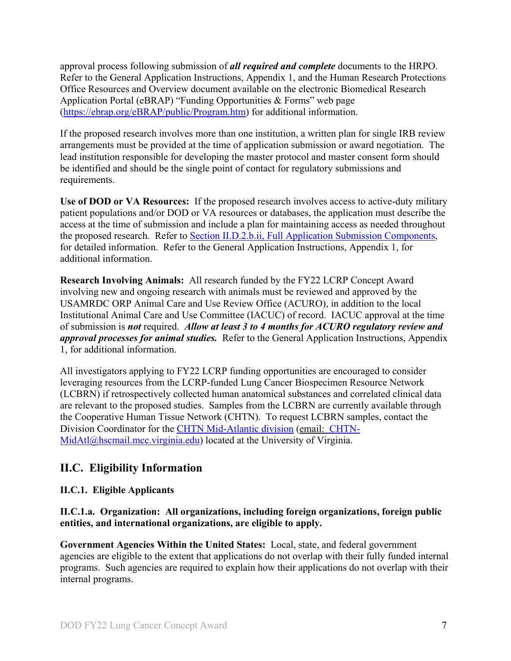approval process following submission of *all required and complete* documents to the HRPO. Refer to the General Application Instructions, Appendix 1, and the Human Research Protections Office Resources and Overview document available on the electronic Biomedical Research Application Portal (eBRAP) "Funding Opportunities & Forms" web page [\(https://ebrap.org/eBRAP/public/Program.htm\)](https://ebrap.org/eBRAP/public/Program.htm) for additional information.

If the proposed research involves more than one institution, a written plan for single IRB review arrangements must be provided at the time of application submission or award negotiation. The lead institution responsible for developing the master protocol and master consent form should be identified and should be the single point of contact for regulatory submissions and requirements.

**Use of DOD or VA Resources:** If the proposed research involves access to active-duty military patient populations and/or DOD or VA resources or databases, the application must describe the access at the time of submission and include a plan for maintaining access as needed throughout the proposed research. Refer to Section [II.D.2.b.ii, Full Application Submission Components,](#page-14-0) for detailed information. Refer to the General Application Instructions, Appendix 1, for additional information.

**Research Involving Animals:** All research funded by the FY22 LCRP Concept Award involving new and ongoing research with animals must be reviewed and approved by the USAMRDC ORP Animal Care and Use Review Office (ACURO), in addition to the local Institutional Animal Care and Use Committee (IACUC) of record. IACUC approval at the time of submission is *not* required. *Allow at least 3 to 4 months for ACURO regulatory review and approval processes for animal studies.* Refer to the General Application Instructions, Appendix 1, for additional information.

All investigators applying to FY22 LCRP funding opportunities are encouraged to consider leveraging resources from the LCRP-funded Lung Cancer Biospecimen Resource Network (LCBRN) if retrospectively collected human anatomical substances and correlated clinical data are relevant to the proposed studies. Samples from the LCBRN are currently available through the Cooperative Human Tissue Network (CHTN). To request LCBRN samples, contact the Division Coordinator for the [CHTN Mid-Atlantic division](https://www.chtn.org/about/divisions.html) (email: [CHTN-](mailto:CHTN-MidAtl@hscmail.mcc.virginia.edu)[MidAtl@hscmail.mcc.virginia.edu\)](mailto:CHTN-MidAtl@hscmail.mcc.virginia.edu) located at the University of Virginia.

## <span id="page-6-0"></span>**II.C. Eligibility Information**

#### <span id="page-6-1"></span>**II.C.1. Eligible Applicants**

#### **II.C.1.a. Organization: All organizations, including foreign organizations, foreign public entities, and international organizations, are eligible to apply.**

**Government Agencies Within the United States:** Local, state, and federal government agencies are eligible to the extent that applications do not overlap with their fully funded internal programs. Such agencies are required to explain how their applications do not overlap with their internal programs.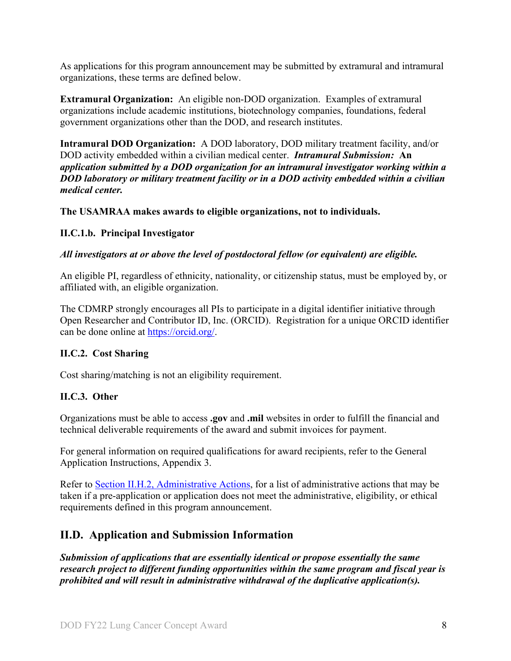As applications for this program announcement may be submitted by extramural and intramural organizations, these terms are defined below.

**Extramural Organization:** An eligible non-DOD organization. Examples of extramural organizations include academic institutions, biotechnology companies, foundations, federal government organizations other than the DOD, and research institutes.

**Intramural DOD Organization:** A DOD laboratory, DOD military treatment facility, and/or DOD activity embedded within a civilian medical center. *Intramural Submission:* **An**  *application submitted by a DOD organization for an intramural investigator working within a DOD laboratory or military treatment facility or in a DOD activity embedded within a civilian medical center.*

**The USAMRAA makes awards to eligible organizations, not to individuals.**

#### **II.C.1.b. Principal Investigator**

#### *All investigators at or above the level of postdoctoral fellow (or equivalent) are eligible.*

An eligible PI, regardless of ethnicity, nationality, or citizenship status, must be employed by, or affiliated with, an eligible organization.

The CDMRP strongly encourages all PIs to participate in a digital identifier initiative through Open Researcher and Contributor ID, Inc. (ORCID). Registration for a unique ORCID identifier can be done online at [https://orcid.org/.](https://orcid.org/)

#### <span id="page-7-0"></span>**II.C.2. Cost Sharing**

Cost sharing/matching is not an eligibility requirement.

#### <span id="page-7-1"></span>**II.C.3. Other**

Organizations must be able to access **.gov** and **.mil** websites in order to fulfill the financial and technical deliverable requirements of the award and submit invoices for payment.

For general information on required qualifications for award recipients, refer to the General Application Instructions, Appendix 3.

Refer to [Section II.H.2, Administrative Actions,](#page-27-2) for a list of administrative actions that may be taken if a pre-application or application does not meet the administrative, eligibility, or ethical requirements defined in this program announcement.

## <span id="page-7-2"></span>**II.D. Application and Submission Information**

*Submission of applications that are essentially identical or propose essentially the same research project to different funding opportunities within the same program and fiscal year is prohibited and will result in administrative withdrawal of the duplicative application(s).*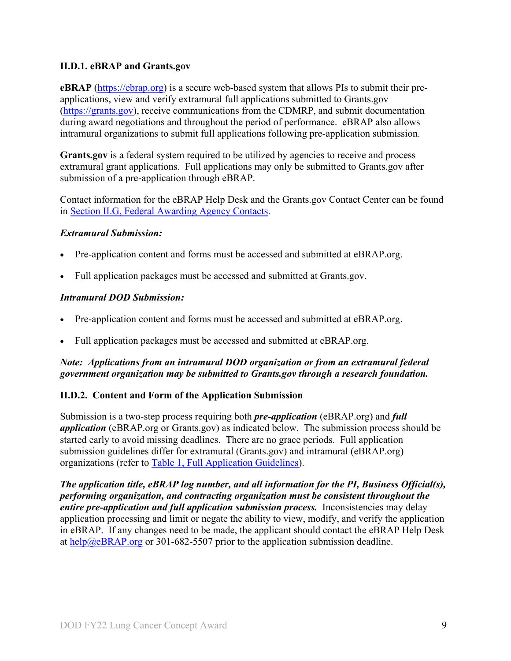#### <span id="page-8-0"></span>**II.D.1. eBRAP and Grants.gov**

**eBRAP** [\(https://ebrap.org\)](https://ebrap.org/) is a secure web-based system that allows PIs to submit their preapplications, view and verify extramural full applications submitted to Grants.gov [\(https://grants.gov\)](https://grants.gov/), receive communications from the CDMRP, and submit documentation during award negotiations and throughout the period of performance. eBRAP also allows intramural organizations to submit full applications following pre-application submission.

Grants.gov is a federal system required to be utilized by agencies to receive and process extramural grant applications. Full applications may only be submitted to Grants.gov after submission of a pre-application through eBRAP.

Contact information for the eBRAP Help Desk and the Grants.gov Contact Center can be found in [Section II.G, Federal Awarding Agency Contacts.](#page-26-0)

#### *Extramural Submission:*

- Pre-application content and forms must be accessed and submitted at eBRAP.org.
- Full application packages must be accessed and submitted at Grants.gov.

#### *Intramural DOD Submission:*

- Pre-application content and forms must be accessed and submitted at eBRAP.org.
- Full application packages must be accessed and submitted at eBRAP.org.

#### *Note: Applications from an intramural DOD organization or from an extramural federal government organization may be submitted to Grants.gov through a research foundation.*

#### <span id="page-8-1"></span>**II.D.2. Content and Form of the Application Submission**

Submission is a two-step process requiring both *pre-application* (eBRAP.org) and *full application* (eBRAP.org or Grants.gov) as indicated below. The submission process should be started early to avoid missing deadlines. There are no grace periods. Full application submission guidelines differ for extramural (Grants.gov) and intramural (eBRAP.org) organizations (refer to [Table 1, Full Application Guidelines\)](#page-11-1).

*The application title, eBRAP log number, and all information for the PI, Business Official(s), performing organization, and contracting organization must be consistent throughout the entire pre-application and full application submission process.* Inconsistencies may delay application processing and limit or negate the ability to view, modify, and verify the application in eBRAP. If any changes need to be made, the applicant should contact the eBRAP Help Desk at [help@eBRAP.org](mailto:help@eBRAP.org) or 301-682-5507 prior to the application submission deadline.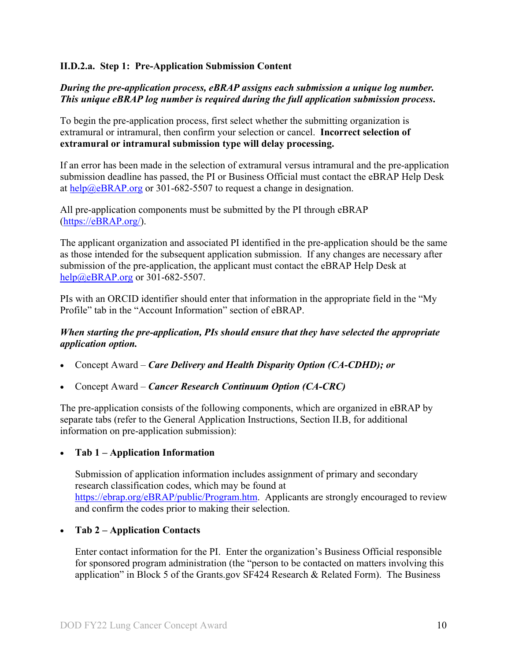#### **II.D.2.a. Step 1: Pre-Application Submission Content**

#### *During the pre-application process, eBRAP assigns each submission a unique log number. This unique eBRAP log number is required during the full application submission process***.**

To begin the pre-application process, first select whether the submitting organization is extramural or intramural, then confirm your selection or cancel. **Incorrect selection of extramural or intramural submission type will delay processing.**

If an error has been made in the selection of extramural versus intramural and the pre-application submission deadline has passed, the PI or Business Official must contact the eBRAP Help Desk at [help@eBRAP.org](mailto:help@eBRAP.org) or 301-682-5507 to request a change in designation.

All pre-application components must be submitted by the PI through eBRAP [\(https://eBRAP.org/\)](https://ebrap.org/).

The applicant organization and associated PI identified in the pre-application should be the same as those intended for the subsequent application submission. If any changes are necessary after submission of the pre-application, the applicant must contact the eBRAP Help Desk at [help@eBRAP.org](mailto:help@eBRAP.org) or 301-682-5507.

PIs with an ORCID identifier should enter that information in the appropriate field in the "My Profile" tab in the "Account Information" section of eBRAP.

#### *When starting the pre-application, PIs should ensure that they have selected the appropriate application option.*

- Concept Award *Care Delivery and Health Disparity Option (CA-CDHD); or*
- Concept Award *Cancer Research Continuum Option (CA-CRC)*

The pre-application consists of the following components, which are organized in eBRAP by separate tabs (refer to the General Application Instructions, Section II.B, for additional information on pre-application submission):

#### • **Tab 1 – Application Information**

Submission of application information includes assignment of primary and secondary research classification codes, which may be found at [https://ebrap.org/eBRAP/public/Program.htm.](https://ebrap.org/eBRAP/public/Program.htm) Applicants are strongly encouraged to review and confirm the codes prior to making their selection.

#### • **Tab 2 – Application Contacts**

Enter contact information for the PI. Enter the organization's Business Official responsible for sponsored program administration (the "person to be contacted on matters involving this application" in Block 5 of the Grants.gov SF424 Research & Related Form). The Business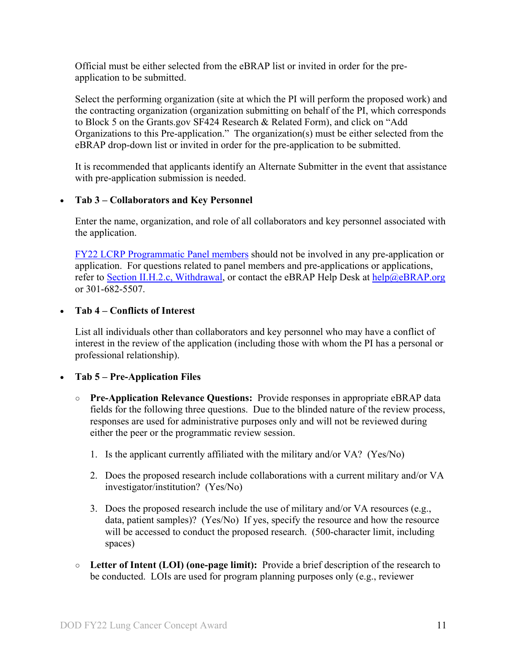Official must be either selected from the eBRAP list or invited in order for the preapplication to be submitted.

Select the performing organization (site at which the PI will perform the proposed work) and the contracting organization (organization submitting on behalf of the PI, which corresponds to Block 5 on the Grants.gov SF424 Research & Related Form), and click on "Add Organizations to this Pre-application." The organization(s) must be either selected from the eBRAP drop-down list or invited in order for the pre-application to be submitted.

It is recommended that applicants identify an Alternate Submitter in the event that assistance with pre-application submission is needed.

#### • **Tab 3 – Collaborators and Key Personnel**

Enter the name, organization, and role of all collaborators and key personnel associated with the application.

[FY22 LCRP Programmatic Panel members](http://cdmrp.army.mil/lcrp/panels/panels22) should not be involved in any pre-application or application. For questions related to panel members and pre-applications or applications, refer to [Section II.H.2.c, Withdrawal,](#page-28-0) or contact the eBRAP Help Desk at [help@eBRAP.org](mailto:help@eBRAP.org) or 301-682-5507.

#### • **Tab 4 – Conflicts of Interest**

List all individuals other than collaborators and key personnel who may have a conflict of interest in the review of the application (including those with whom the PI has a personal or professional relationship).

#### • **Tab 5 – Pre-Application Files**

- **○ Pre-Application Relevance Questions:** Provide responses in appropriate eBRAP data fields for the following three questions. Due to the blinded nature of the review process, responses are used for administrative purposes only and will not be reviewed during either the peer or the programmatic review session.
	- 1. Is the applicant currently affiliated with the military and/or VA? (Yes/No)
	- 2. Does the proposed research include collaborations with a current military and/or VA investigator/institution? (Yes/No)
	- 3. Does the proposed research include the use of military and/or VA resources (e.g., data, patient samples)? (Yes/No) If yes, specify the resource and how the resource will be accessed to conduct the proposed research. (500-character limit, including spaces)
- **○ Letter of Intent (LOI) (one-page limit):** Provide a brief description of the research to be conducted. LOIs are used for program planning purposes only (e.g., reviewer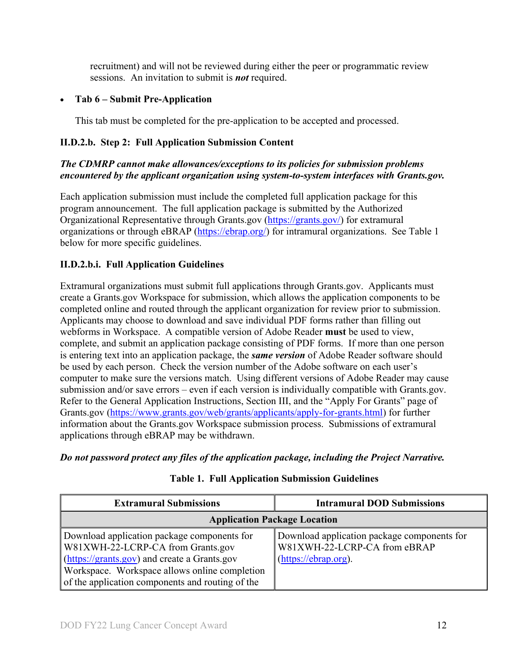recruitment) and will not be reviewed during either the peer or programmatic review sessions. An invitation to submit is *not* required.

## • **Tab 6 – Submit Pre-Application**

This tab must be completed for the pre-application to be accepted and processed.

## **II.D.2.b. Step 2: Full Application Submission Content**

## *The CDMRP cannot make allowances/exceptions to its policies for submission problems encountered by the applicant organization using system-to-system interfaces with Grants.gov.*

Each application submission must include the completed full application package for this program announcement. The full application package is submitted by the Authorized Organizational Representative through Grants.gov [\(https://grants.gov/\)](https://www.grants.gov/) for extramural organizations or through eBRAP [\(https://ebrap.org/\)](https://ebrap.org/) for intramural organizations. See Table 1 below for more specific guidelines.

## <span id="page-11-0"></span>**II.D.2.b.i. Full Application Guidelines**

Extramural organizations must submit full applications through Grants.gov. Applicants must create a Grants.gov Workspace for submission, which allows the application components to be completed online and routed through the applicant organization for review prior to submission. Applicants may choose to download and save individual PDF forms rather than filling out webforms in Workspace. A compatible version of Adobe Reader **must** be used to view, complete, and submit an application package consisting of PDF forms. If more than one person is entering text into an application package, the *same version* of Adobe Reader software should be used by each person. Check the version number of the Adobe software on each user's computer to make sure the versions match. Using different versions of Adobe Reader may cause submission and/or save errors – even if each version is individually compatible with Grants.gov. Refer to the General Application Instructions, Section III, and the "Apply For Grants" page of Grants.gov [\(https://www.grants.gov/web/grants/applicants/apply-for-grants.html\)](https://www.grants.gov/web/grants/applicants/apply-for-grants.html) for further information about the Grants.gov Workspace submission process. Submissions of extramural applications through eBRAP may be withdrawn.

<span id="page-11-1"></span>*Do not password protect any files of the application package, including the Project Narrative.*

| <b>Extramural Submissions</b>                                                                                                                                                                                                         | <b>Intramural DOD Submissions</b>                                                                      |
|---------------------------------------------------------------------------------------------------------------------------------------------------------------------------------------------------------------------------------------|--------------------------------------------------------------------------------------------------------|
| <b>Application Package Location</b>                                                                                                                                                                                                   |                                                                                                        |
| Download application package components for<br>W81XWH-22-LCRP-CA from Grants.gov<br>(https://grants.gov) and create a Grants.gov<br>Workspace. Workspace allows online completion<br>of the application components and routing of the | Download application package components for<br>W81XWH-22-LCRP-CA from eBRAP<br>$(htips://ebrap.org)$ . |

## **Table 1. Full Application Submission Guidelines**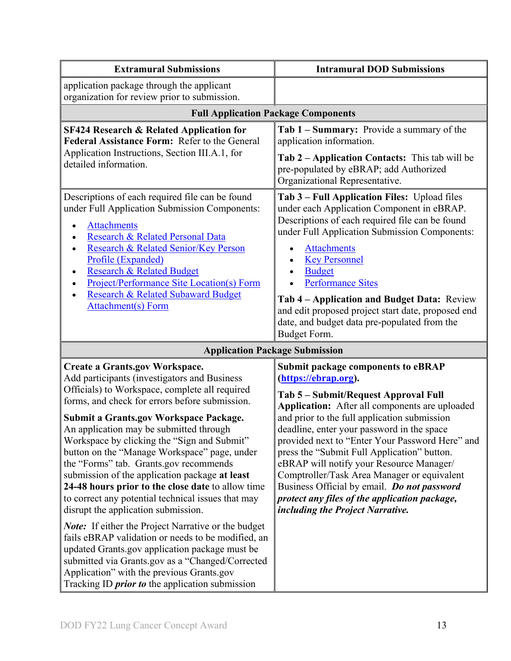| <b>Extramural Submissions</b>                                                                                                                                                                                                                                                                                                                                                                                                                                                                                                                                                                                                                                                                    | <b>Intramural DOD Submissions</b>                                                                                                                                                                                                                                                                                                                                                                                                                                                                                                                                                          |  |  |
|--------------------------------------------------------------------------------------------------------------------------------------------------------------------------------------------------------------------------------------------------------------------------------------------------------------------------------------------------------------------------------------------------------------------------------------------------------------------------------------------------------------------------------------------------------------------------------------------------------------------------------------------------------------------------------------------------|--------------------------------------------------------------------------------------------------------------------------------------------------------------------------------------------------------------------------------------------------------------------------------------------------------------------------------------------------------------------------------------------------------------------------------------------------------------------------------------------------------------------------------------------------------------------------------------------|--|--|
| application package through the applicant<br>organization for review prior to submission.                                                                                                                                                                                                                                                                                                                                                                                                                                                                                                                                                                                                        |                                                                                                                                                                                                                                                                                                                                                                                                                                                                                                                                                                                            |  |  |
| <b>Full Application Package Components</b>                                                                                                                                                                                                                                                                                                                                                                                                                                                                                                                                                                                                                                                       |                                                                                                                                                                                                                                                                                                                                                                                                                                                                                                                                                                                            |  |  |
| <b>SF424 Research &amp; Related Application for</b><br>Federal Assistance Form: Refer to the General<br>Application Instructions, Section III.A.1, for<br>detailed information.                                                                                                                                                                                                                                                                                                                                                                                                                                                                                                                  | Tab 1 – Summary: Provide a summary of the<br>application information.<br>Tab 2 – Application Contacts: This tab will be<br>pre-populated by eBRAP; add Authorized<br>Organizational Representative.                                                                                                                                                                                                                                                                                                                                                                                        |  |  |
| Descriptions of each required file can be found<br>under Full Application Submission Components:<br><b>Attachments</b><br>Research & Related Personal Data<br>Research & Related Senior/Key Person<br>$\bullet$<br>Profile (Expanded)<br><b>Research &amp; Related Budget</b><br>$\bullet$<br><b>Project/Performance Site Location(s) Form</b><br><b>Research &amp; Related Subaward Budget</b><br><b>Attachment(s)</b> Form                                                                                                                                                                                                                                                                     | Tab 3 - Full Application Files: Upload files<br>under each Application Component in eBRAP.<br>Descriptions of each required file can be found<br>under Full Application Submission Components:<br><b>Attachments</b><br><b>Key Personnel</b><br><b>Budget</b><br><b>Performance Sites</b><br>Tab 4 – Application and Budget Data: Review<br>and edit proposed project start date, proposed end<br>date, and budget data pre-populated from the<br>Budget Form.                                                                                                                             |  |  |
| <b>Application Package Submission</b>                                                                                                                                                                                                                                                                                                                                                                                                                                                                                                                                                                                                                                                            |                                                                                                                                                                                                                                                                                                                                                                                                                                                                                                                                                                                            |  |  |
| <b>Create a Grants.gov Workspace.</b><br>Add participants (investigators and Business<br>Officials) to Workspace, complete all required<br>forms, and check for errors before submission.<br><b>Submit a Grants.gov Workspace Package.</b><br>An application may be submitted through<br>Workspace by clicking the "Sign and Submit"<br>button on the "Manage Workspace" page, under<br>the "Forms" tab. Grants.gov recommends<br>submission of the application package at least<br>24-48 hours prior to the close date to allow time<br>to correct any potential technical issues that may<br>disrupt the application submission.<br><b>Note:</b> If either the Project Narrative or the budget | <b>Submit package components to eBRAP</b><br>(https://ebrap.org).<br>Tab 5 - Submit/Request Approval Full<br>Application: After all components are uploaded<br>and prior to the full application submission<br>deadline, enter your password in the space<br>provided next to "Enter Your Password Here" and<br>press the "Submit Full Application" button.<br>eBRAP will notify your Resource Manager/<br>Comptroller/Task Area Manager or equivalent<br>Business Official by email. Do not password<br>protect any files of the application package,<br>including the Project Narrative. |  |  |
| fails eBRAP validation or needs to be modified, an<br>updated Grants.gov application package must be<br>submitted via Grants.gov as a "Changed/Corrected<br>Application" with the previous Grants.gov<br>Tracking ID <i>prior to</i> the application submission                                                                                                                                                                                                                                                                                                                                                                                                                                  |                                                                                                                                                                                                                                                                                                                                                                                                                                                                                                                                                                                            |  |  |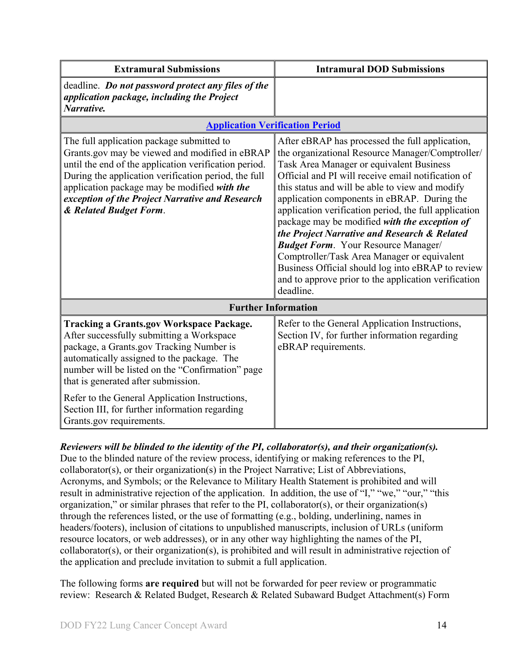| <b>Intramural DOD Submissions</b>                                                                                                                                                                                                                                                                                                                                                                                                                                                                                                                                                                                                                                                        |
|------------------------------------------------------------------------------------------------------------------------------------------------------------------------------------------------------------------------------------------------------------------------------------------------------------------------------------------------------------------------------------------------------------------------------------------------------------------------------------------------------------------------------------------------------------------------------------------------------------------------------------------------------------------------------------------|
|                                                                                                                                                                                                                                                                                                                                                                                                                                                                                                                                                                                                                                                                                          |
| <b>Application Verification Period</b>                                                                                                                                                                                                                                                                                                                                                                                                                                                                                                                                                                                                                                                   |
| After eBRAP has processed the full application,<br>the organizational Resource Manager/Comptroller/<br>Task Area Manager or equivalent Business<br>Official and PI will receive email notification of<br>this status and will be able to view and modify<br>application components in eBRAP. During the<br>application verification period, the full application<br>package may be modified with the exception of<br>the Project Narrative and Research & Related<br><b>Budget Form.</b> Your Resource Manager/<br>Comptroller/Task Area Manager or equivalent<br>Business Official should log into eBRAP to review<br>and to approve prior to the application verification<br>deadline. |
| <b>Further Information</b>                                                                                                                                                                                                                                                                                                                                                                                                                                                                                                                                                                                                                                                               |
| Refer to the General Application Instructions,<br>Section IV, for further information regarding<br>eBRAP requirements.                                                                                                                                                                                                                                                                                                                                                                                                                                                                                                                                                                   |
|                                                                                                                                                                                                                                                                                                                                                                                                                                                                                                                                                                                                                                                                                          |

#### *Reviewers will be blinded to the identity of the PI, collaborator(s), and their organization(s).*

Due to the blinded nature of the review process, identifying or making references to the PI, collaborator(s), or their organization(s) in the Project Narrative; List of Abbreviations, Acronyms, and Symbols; or the Relevance to Military Health Statement is prohibited and will result in administrative rejection of the application. In addition, the use of "I," "we," "our," "this organization," or similar phrases that refer to the PI, collaborator(s), or their organization(s) through the references listed, or the use of formatting (e.g., bolding, underlining, names in headers/footers), inclusion of citations to unpublished manuscripts, inclusion of URLs (uniform resource locators, or web addresses), or in any other way highlighting the names of the PI, collaborator(s), or their organization(s), is prohibited and will result in administrative rejection of the application and preclude invitation to submit a full application.

The following forms **are required** but will not be forwarded for peer review or programmatic review: Research & Related Budget, Research & Related Subaward Budget Attachment(s) Form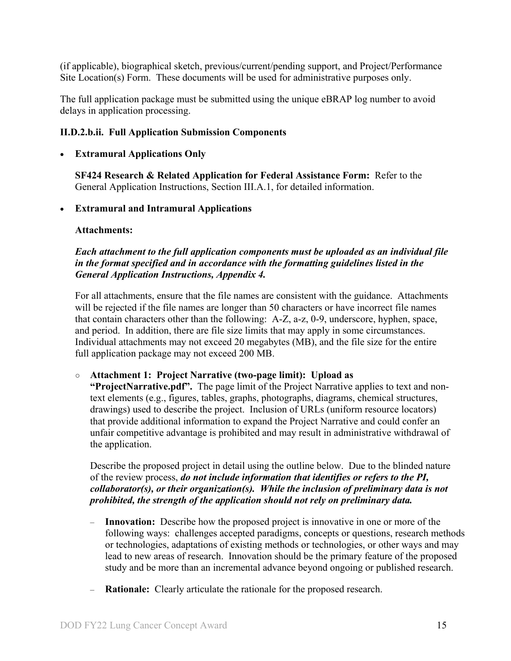(if applicable), biographical sketch, previous/current/pending support, and Project/Performance Site Location(s) Form. These documents will be used for administrative purposes only.

The full application package must be submitted using the unique eBRAP log number to avoid delays in application processing.

#### <span id="page-14-0"></span>**II.D.2.b.ii. Full Application Submission Components**

#### • **Extramural Applications Only**

**SF424 Research & Related Application for Federal Assistance Form:** Refer to the General Application Instructions, Section III.A.1, for detailed information.

#### • **Extramural and Intramural Applications**

#### <span id="page-14-1"></span>**Attachments:**

#### *Each attachment to the full application components must be uploaded as an individual file in the format specified and in accordance with the formatting guidelines listed in the General Application Instructions, Appendix 4.*

For all attachments, ensure that the file names are consistent with the guidance. Attachments will be rejected if the file names are longer than 50 characters or have incorrect file names that contain characters other than the following: A-Z, a-z, 0-9, underscore, hyphen, space, and period. In addition, there are file size limits that may apply in some circumstances. Individual attachments may not exceed 20 megabytes (MB), and the file size for the entire full application package may not exceed 200 MB.

#### ○ **Attachment 1: Project Narrative (two-page limit): Upload as**

**"ProjectNarrative.pdf".** The page limit of the Project Narrative applies to text and nontext elements (e.g., figures, tables, graphs, photographs, diagrams, chemical structures, drawings) used to describe the project. Inclusion of URLs (uniform resource locators) that provide additional information to expand the Project Narrative and could confer an unfair competitive advantage is prohibited and may result in administrative withdrawal of the application.

Describe the proposed project in detail using the outline below. Due to the blinded nature of the review process, *do not include information that identifies or refers to the PI, collaborator(s), or their organization(s). While the inclusion of preliminary data is not prohibited, the strength of the application should not rely on preliminary data.*

- **Innovation:** Describe how the proposed project is innovative in one or more of the following ways: challenges accepted paradigms, concepts or questions, research methods or technologies, adaptations of existing methods or technologies, or other ways and may lead to new areas of research. Innovation should be the primary feature of the proposed study and be more than an incremental advance beyond ongoing or published research.
- **Rationale:** Clearly articulate the rationale for the proposed research.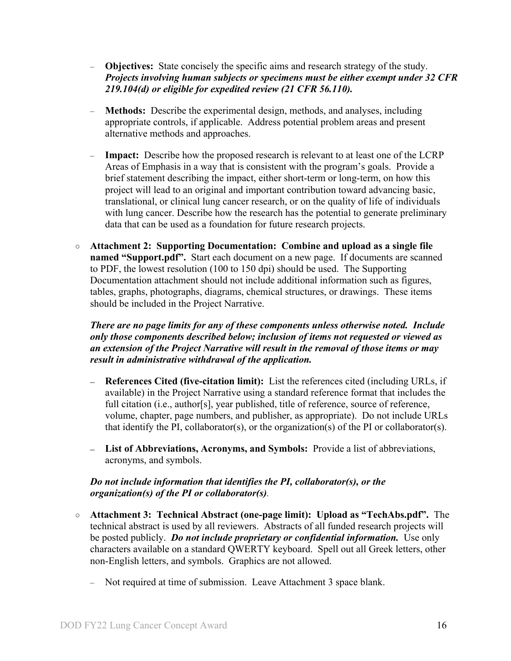- **Objectives:** State concisely the specific aims and research strategy of the study. *Projects involving human subjects or specimens must be either exempt under 32 CFR 219.104(d) or eligible for expedited review (21 CFR 56.110).*
- **Methods:** Describe the experimental design, methods, and analyses, including appropriate controls, if applicable. Address potential problem areas and present alternative methods and approaches.
- **Impact:** Describe how the proposed research is relevant to at least one of the LCRP Areas of Emphasis in a way that is consistent with the program's goals. Provide a brief statement describing the impact, either short-term or long-term, on how this project will lead to an original and important contribution toward advancing basic, translational, or clinical lung cancer research, or on the quality of life of individuals with lung cancer. Describe how the research has the potential to generate preliminary data that can be used as a foundation for future research projects.
- **Attachment 2: Supporting Documentation: Combine and upload as a single file named "Support.pdf".** Start each document on a new page. If documents are scanned to PDF, the lowest resolution (100 to 150 dpi) should be used. The Supporting Documentation attachment should not include additional information such as figures, tables, graphs, photographs, diagrams, chemical structures, or drawings. These items should be included in the Project Narrative.

#### *There are no page limits for any of these components unless otherwise noted. Include only those components described below; inclusion of items not requested or viewed as an extension of the Project Narrative will result in the removal of those items or may result in administrative withdrawal of the application.*

- **References Cited (five-citation limit):** List the references cited (including URLs, if available) in the Project Narrative using a standard reference format that includes the full citation (i.e., author[s], year published, title of reference, source of reference, volume, chapter, page numbers, and publisher, as appropriate). Do not include URLs that identify the PI, collaborator(s), or the organization(s) of the PI or collaborator(s).
- **List of Abbreviations, Acronyms, and Symbols:** Provide a list of abbreviations, acronyms, and symbols.

#### *Do not include information that identifies the PI, collaborator(s), or the organization(s) of the PI or collaborator(s).*

- **Attachment 3: Technical Abstract (one-page limit): Upload as "TechAbs.pdf".** The technical abstract is used by all reviewers. Abstracts of all funded research projects will be posted publicly. *Do not include proprietary or confidential information.* Use only characters available on a standard QWERTY keyboard. Spell out all Greek letters, other non-English letters, and symbols. Graphics are not allowed.
	- Not required at time of submission. Leave Attachment 3 space blank.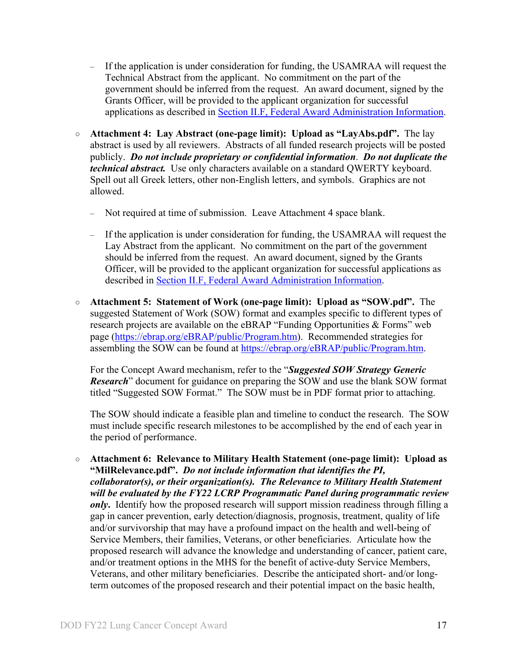- If the application is under consideration for funding, the USAMRAA will request the Technical Abstract from the applicant. No commitment on the part of the government should be inferred from the request. An award document, signed by the Grants Officer, will be provided to the applicant organization for successful applications as described in Section II.F, [Federal Award Administration Information.](#page-24-1)
- **Attachment 4: Lay Abstract (one-page limit): Upload as "LayAbs.pdf".** The lay abstract is used by all reviewers. Abstracts of all funded research projects will be posted publicly. *Do not include proprietary or confidential information*. *Do not duplicate the technical abstract.* Use only characters available on a standard QWERTY keyboard. Spell out all Greek letters, other non-English letters, and symbols. Graphics are not allowed.
	- Not required at time of submission. Leave Attachment 4 space blank.
	- If the application is under consideration for funding, the USAMRAA will request the Lay Abstract from the applicant. No commitment on the part of the government should be inferred from the request. An award document, signed by the Grants Officer, will be provided to the applicant organization for successful applications as described in Section II.F, [Federal Award Administration Information.](#page-24-1)
- **Attachment 5: Statement of Work (one-page limit): Upload as "SOW.pdf".** The suggested Statement of Work (SOW) format and examples specific to different types of research projects are available on the eBRAP "Funding Opportunities & Forms" web page [\(https://ebrap.org/eBRAP/public/Program.htm\)](https://ebrap.org/eBRAP/public/Program.htm). Recommended strategies for assembling the SOW can be found at [https://ebrap.org/eBRAP/public/Program.htm.](https://ebrap.org/eBRAP/public/Program.htm)

For the Concept Award mechanism, refer to the "*Suggested SOW Strategy Generic Research*" document for guidance on preparing the SOW and use the blank SOW format titled "Suggested SOW Format." The SOW must be in PDF format prior to attaching.

The SOW should indicate a feasible plan and timeline to conduct the research. The SOW must include specific research milestones to be accomplished by the end of each year in the period of performance.

○ **Attachment 6: Relevance to Military Health Statement (one-page limit): Upload as "MilRelevance.pdf".** *Do not include information that identifies the PI, collaborator(s), or their organization(s). The Relevance to Military Health Statement will be evaluated by the FY22 LCRP Programmatic Panel during programmatic review only***.** Identify how the proposed research will support mission readiness through filling a gap in cancer prevention, early detection/diagnosis, prognosis, treatment, quality of life and/or survivorship that may have a profound impact on the health and well-being of Service Members, their families, Veterans, or other beneficiaries. Articulate how the proposed research will advance the knowledge and understanding of cancer, patient care, and/or treatment options in the MHS for the benefit of active-duty Service Members, Veterans, and other military beneficiaries. Describe the anticipated short- and/or longterm outcomes of the proposed research and their potential impact on the basic health,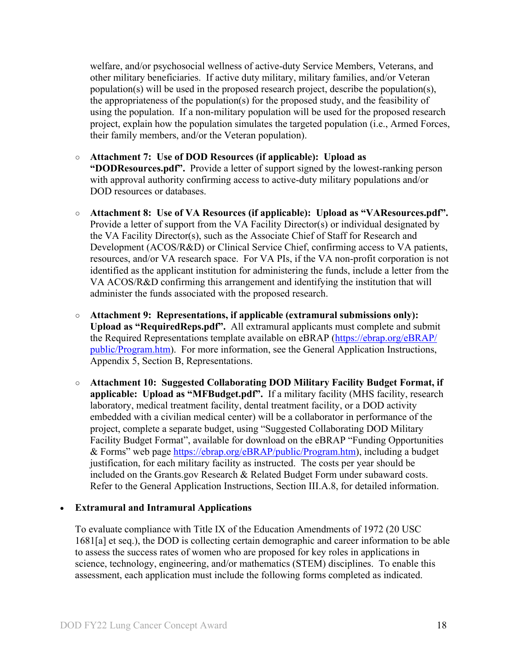welfare, and/or psychosocial wellness of active-duty Service Members, Veterans, and other military beneficiaries. If active duty military, military families, and/or Veteran population(s) will be used in the proposed research project, describe the population(s), the appropriateness of the population(s) for the proposed study, and the feasibility of using the population. If a non-military population will be used for the proposed research project, explain how the population simulates the targeted population (i.e., Armed Forces, their family members, and/or the Veteran population).

- **Attachment 7: Use of DOD Resources (if applicable): Upload as "DODResources.pdf".** Provide a letter of support signed by the lowest-ranking person with approval authority confirming access to active-duty military populations and/or DOD resources or databases.
- **Attachment 8: Use of VA Resources (if applicable): Upload as "VAResources.pdf".** Provide a letter of support from the VA Facility Director(s) or individual designated by the VA Facility Director(s), such as the Associate Chief of Staff for Research and Development (ACOS/R&D) or Clinical Service Chief, confirming access to VA patients, resources, and/or VA research space. For VA PIs, if the VA non-profit corporation is not identified as the applicant institution for administering the funds, include a letter from the VA ACOS/R&D confirming this arrangement and identifying the institution that will administer the funds associated with the proposed research.
- **Attachment 9: Representations, if applicable (extramural submissions only): Upload as "RequiredReps.pdf".** All extramural applicants must complete and submit the Required Representations template available on eBRAP [\(https://ebrap.org/eBRAP/](https://ebrap.org/eBRAP/public/Program.htm) [public/Program.htm\)](https://ebrap.org/eBRAP/public/Program.htm). For more information, see the General Application Instructions, Appendix 5, Section B, Representations.
- <span id="page-17-0"></span>○ **Attachment 10: Suggested Collaborating DOD Military Facility Budget Format, if applicable: Upload as "MFBudget.pdf".** If a military facility (MHS facility, research laboratory, medical treatment facility, dental treatment facility, or a DOD activity embedded with a civilian medical center) will be a collaborator in performance of the project, complete a separate budget, using "Suggested Collaborating DOD Military Facility Budget Format", available for download on the eBRAP "Funding Opportunities & Forms" web page [https://ebrap.org/eBRAP/public/Program.htm\)](https://ebrap.org/eBRAP/public/Program.htm), including a budget justification, for each military facility as instructed. The costs per year should be included on the Grants.gov Research & Related Budget Form under subaward costs. Refer to the General Application Instructions, Section III.A.8, for detailed information.

#### • **Extramural and Intramural Applications**

To evaluate compliance with Title IX of the Education Amendments of 1972 (20 USC 1681[a] et seq.), the DOD is collecting certain demographic and career information to be able to assess the success rates of women who are proposed for key roles in applications in science, technology, engineering, and/or mathematics (STEM) disciplines. To enable this assessment, each application must include the following forms completed as indicated.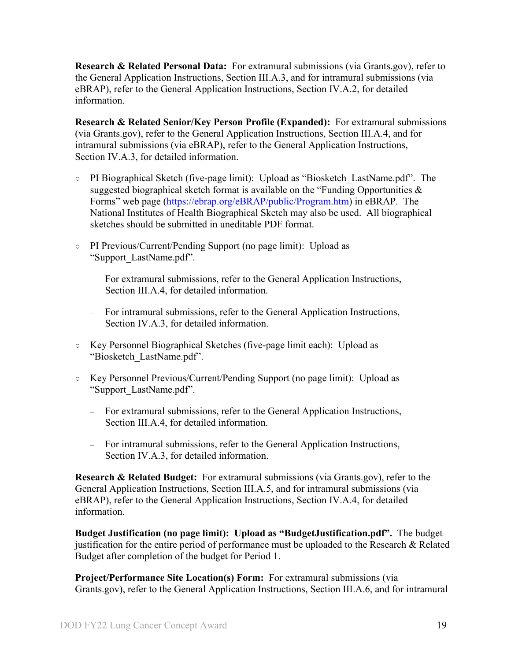<span id="page-18-0"></span>**Research & Related Personal Data:** For extramural submissions (via Grants.gov), refer to the General Application Instructions, Section III.A.3, and for intramural submissions (via eBRAP), refer to the General Application Instructions, Section IV.A.2, for detailed information.

<span id="page-18-1"></span>**Research & Related Senior/Key Person Profile (Expanded):** For extramural submissions (via Grants.gov), refer to the General Application Instructions, Section III.A.4, and for intramural submissions (via eBRAP), refer to the General Application Instructions, Section IV.A.3, for detailed information.

- PI Biographical Sketch (five-page limit): Upload as "Biosketch\_LastName.pdf". The suggested biographical sketch format is available on the "Funding Opportunities & Forms" web page [\(https://ebrap.org/eBRAP/public/Program.htm\)](https://ebrap.org/eBRAP/public/Program.htm) in eBRAP. The National Institutes of Health Biographical Sketch may also be used. All biographical sketches should be submitted in uneditable PDF format.
- PI Previous/Current/Pending Support (no page limit): Upload as "Support\_LastName.pdf".
	- For extramural submissions, refer to the General Application Instructions, Section III.A.4, for detailed information.
	- For intramural submissions, refer to the General Application Instructions, Section IV.A.3, for detailed information.
- Key Personnel Biographical Sketches (five-page limit each): Upload as "Biosketch\_LastName.pdf".
- Key Personnel Previous/Current/Pending Support (no page limit): Upload as "Support\_LastName.pdf".
	- For extramural submissions, refer to the General Application Instructions, Section III.A.4, for detailed information.
	- For intramural submissions, refer to the General Application Instructions, Section IV.A.3, for detailed information.

<span id="page-18-2"></span>**Research & Related Budget:** For extramural submissions (via Grants.gov), refer to the General Application Instructions, Section III.A.5, and for intramural submissions (via eBRAP), refer to the General Application Instructions, Section IV.A.4, for detailed information.

**Budget Justification (no page limit): Upload as "BudgetJustification.pdf".** The budget justification for the entire period of performance must be uploaded to the Research & Related Budget after completion of the budget for Period 1.

<span id="page-18-3"></span>**Project/Performance Site Location(s) Form:** For extramural submissions (via Grants.gov), refer to the General Application Instructions, Section III.A.6, and for intramural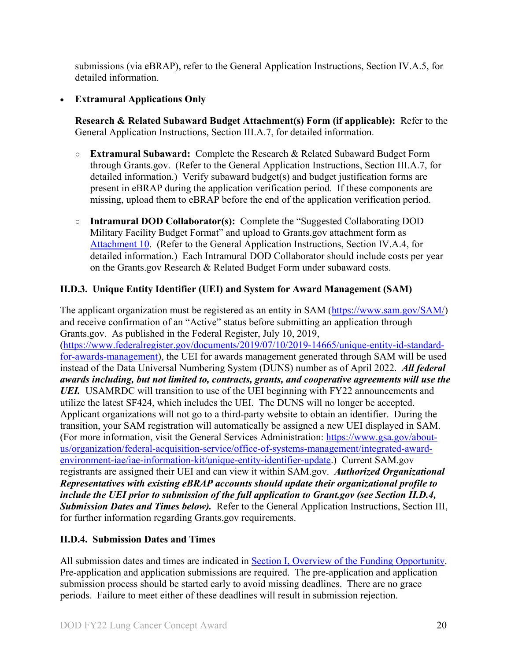submissions (via eBRAP), refer to the General Application Instructions, Section IV.A.5, for detailed information.

## • **Extramural Applications Only**

<span id="page-19-2"></span>**Research & Related Subaward Budget Attachment(s) Form (if applicable):** Refer to the General Application Instructions, Section III.A.7, for detailed information.

- **Extramural Subaward:** Complete the Research & Related Subaward Budget Form through Grants.gov. (Refer to the General Application Instructions, Section III.A.7, for detailed information.) Verify subaward budget(s) and budget justification forms are present in eBRAP during the application verification period. If these components are missing, upload them to eBRAP before the end of the application verification period.
- **Intramural DOD Collaborator(s):** Complete the "Suggested Collaborating DOD Military Facility Budget Format" and upload to Grants.gov attachment form as [Attachment 10.](#page-17-0) (Refer to the General Application Instructions, Section IV.A.4, for detailed information.) Each Intramural DOD Collaborator should include costs per year on the Grants.gov Research & Related Budget Form under subaward costs.

## <span id="page-19-0"></span>**II.D.3. Unique Entity Identifier (UEI) and System for Award Management (SAM)**

The applicant organization must be registered as an entity in SAM [\(https://www.sam.gov/SAM/\)](https://www.sam.gov/SAM/) and receive confirmation of an "Active" status before submitting an application through Grants.gov. As published in the Federal Register, July 10, 2019, [\(https://www.federalregister.gov/documents/2019/07/10/2019-14665/unique-entity-id-standard](https://www.federalregister.gov/documents/2019/07/10/2019-14665/unique-entity-id-standard-for-awards-management)[for-awards-management\)](https://www.federalregister.gov/documents/2019/07/10/2019-14665/unique-entity-id-standard-for-awards-management), the UEI for awards management generated through SAM will be used instead of the Data Universal Numbering System (DUNS) number as of April 2022. *All federal awards including, but not limited to, contracts, grants, and cooperative agreements will use the UEI.* USAMRDC will transition to use of the UEI beginning with FY22 announcements and utilize the latest SF424, which includes the UEI. The DUNS will no longer be accepted. Applicant organizations will not go to a third-party website to obtain an identifier. During the transition, your SAM registration will automatically be assigned a new UEI displayed in SAM. (For more information, visit the General Services Administration: [https://www.gsa.gov/about](https://www.gsa.gov/about-us/organization/federal-acquisition-service/office-of-systems-management/integrated-award-environment-iae/iae-information-kit/unique-entity-identifier-update)[us/organization/federal-acquisition-service/office-of-systems-management/integrated-award](https://www.gsa.gov/about-us/organization/federal-acquisition-service/office-of-systems-management/integrated-award-environment-iae/iae-information-kit/unique-entity-identifier-update)[environment-iae/iae-information-kit/unique-entity-identifier-update.](https://www.gsa.gov/about-us/organization/federal-acquisition-service/office-of-systems-management/integrated-award-environment-iae/iae-information-kit/unique-entity-identifier-update)) Current SAM.gov registrants are assigned their UEI and can view it within SAM.gov. *Authorized Organizational Representatives with existing eBRAP accounts should update their organizational profile to include the UEI prior to submission of the full application to Grant.gov (see Section II.D.4, Submission Dates and Times below).* Refer to the General Application Instructions, Section III, for further information regarding Grants.gov requirements.

## <span id="page-19-1"></span>**II.D.4. Submission Dates and Times**

All submission dates and times are indicated in [Section I, Overview of the Funding Opportunity.](#page-0-1) Pre-application and application submissions are required. The pre-application and application submission process should be started early to avoid missing deadlines. There are no grace periods. Failure to meet either of these deadlines will result in submission rejection.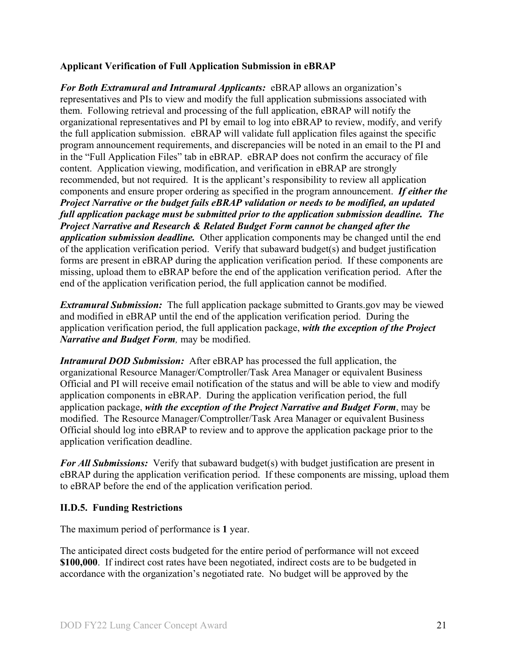#### <span id="page-20-1"></span>**Applicant Verification of Full Application Submission in eBRAP**

*For Both Extramural and Intramural Applicants:* eBRAP allows an organization's representatives and PIs to view and modify the full application submissions associated with them. Following retrieval and processing of the full application, eBRAP will notify the organizational representatives and PI by email to log into eBRAP to review, modify, and verify the full application submission. eBRAP will validate full application files against the specific program announcement requirements, and discrepancies will be noted in an email to the PI and in the "Full Application Files" tab in eBRAP. eBRAP does not confirm the accuracy of file content. Application viewing, modification, and verification in eBRAP are strongly recommended, but not required. It is the applicant's responsibility to review all application components and ensure proper ordering as specified in the program announcement. *If either the Project Narrative or the budget fails eBRAP validation or needs to be modified, an updated full application package must be submitted prior to the application submission deadline. The Project Narrative and Research & Related Budget Form cannot be changed after the application submission deadline.* Other application components may be changed until the end of the [application verification period.](#page-0-0) Verify that subaward budget(s) and budget justification forms are present in eBRAP during the application verification period. If these components are missing, upload them to eBRAP before the end of the application verification period. After the end of the application verification period, the full application cannot be modified.

*Extramural Submission:* The full application package submitted to Grants.gov may be viewed and modified in eBRAP until the end of the application verification period. During the application verification period, the full application package, *with the exception of the Project Narrative and Budget Form,* may be modified.

*Intramural DOD Submission:* After eBRAP has processed the full application, the organizational Resource Manager/Comptroller/Task Area Manager or equivalent Business Official and PI will receive email notification of the status and will be able to view and modify application components in eBRAP. During the application verification period, the full application package, *with the exception of the Project Narrative and Budget Form*, may be modified. The Resource Manager/Comptroller/Task Area Manager or equivalent Business Official should log into eBRAP to review and to approve the application package prior to the application verification deadline.

*For All Submissions:* Verify that subaward budget(s) with budget justification are present in eBRAP during the application verification period. If these components are missing, upload them to eBRAP before the end of the application verification period.

#### <span id="page-20-0"></span>**II.D.5. Funding Restrictions**

The maximum period of performance is **1** year.

The anticipated direct costs budgeted for the entire period of performance will not exceed **\$100,000**. If indirect cost rates have been negotiated, indirect costs are to be budgeted in accordance with the organization's negotiated rate. No budget will be approved by the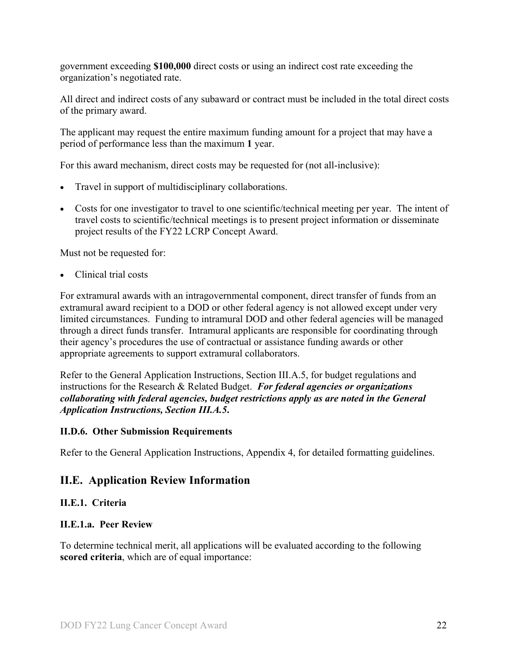government exceeding **\$100,000** direct costs or using an indirect cost rate exceeding the organization's negotiated rate.

All direct and indirect costs of any subaward or contract must be included in the total direct costs of the primary award.

The applicant may request the entire maximum funding amount for a project that may have a period of performance less than the maximum **1** year.

For this award mechanism, direct costs may be requested for (not all-inclusive):

- Travel in support of multidisciplinary collaborations.
- Costs for one investigator to travel to one scientific/technical meeting per year. The intent of travel costs to scientific/technical meetings is to present project information or disseminate project results of the FY22 LCRP Concept Award.

Must not be requested for:

• Clinical trial costs

For extramural awards with an intragovernmental component, direct transfer of funds from an extramural award recipient to a DOD or other federal agency is not allowed except under very limited circumstances. Funding to intramural DOD and other federal agencies will be managed through a direct funds transfer. Intramural applicants are responsible for coordinating through their agency's procedures the use of contractual or assistance funding awards or other appropriate agreements to support extramural collaborators.

Refer to the General Application Instructions, Section III.A.5, for budget regulations and instructions for the Research & Related Budget. *For federal agencies or organizations collaborating with federal agencies, budget restrictions apply as are noted in the General Application Instructions, Section III.A.5***.**

#### <span id="page-21-0"></span>**II.D.6. Other Submission Requirements**

Refer to the General Application Instructions, Appendix 4, for detailed formatting guidelines.

## <span id="page-21-1"></span>**II.E. Application Review Information**

#### <span id="page-21-2"></span>**II.E.1. Criteria**

#### **II.E.1.a. Peer Review**

To determine technical merit, all applications will be evaluated according to the following **scored criteria**, which are of equal importance: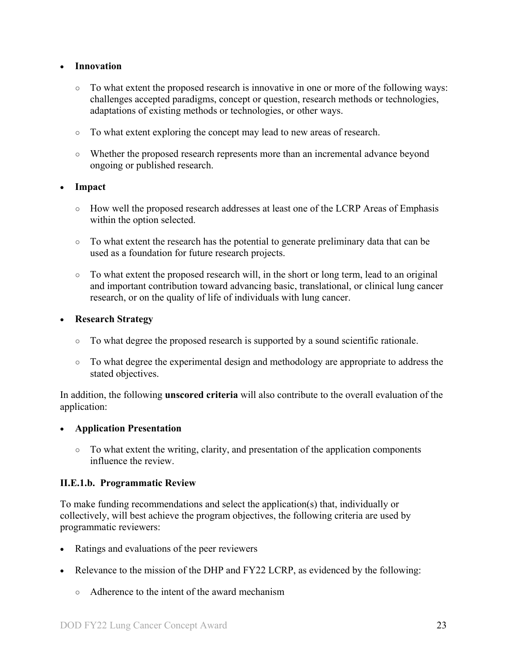#### • **Innovation**

- To what extent the proposed research is innovative in one or more of the following ways: challenges accepted paradigms, concept or question, research methods or technologies, adaptations of existing methods or technologies, or other ways.
- To what extent exploring the concept may lead to new areas of research.
- Whether the proposed research represents more than an incremental advance beyond ongoing or published research.

#### • **Impact**

- How well the proposed research addresses at least one of the LCRP Areas of Emphasis within the option selected.
- To what extent the research has the potential to generate preliminary data that can be used as a foundation for future research projects.
- $\circ$  To what extent the proposed research will, in the short or long term, lead to an original and important contribution toward advancing basic, translational, or clinical lung cancer research, or on the quality of life of individuals with lung cancer.

#### • **Research Strategy**

- To what degree the proposed research is supported by a sound scientific rationale.
- To what degree the experimental design and methodology are appropriate to address the stated objectives.

In addition, the following **unscored criteria** will also contribute to the overall evaluation of the application:

#### • **Application Presentation**

○ To what extent the writing, clarity, and presentation of the application components influence the review.

#### <span id="page-22-0"></span>**II.E.1.b. Programmatic Review**

To make funding recommendations and select the application(s) that, individually or collectively, will best achieve the program objectives, the following criteria are used by programmatic reviewers:

- Ratings and evaluations of the peer reviewers
- Relevance to the mission of the DHP and FY22 LCRP, as evidenced by the following:
	- Adherence to the intent of the award mechanism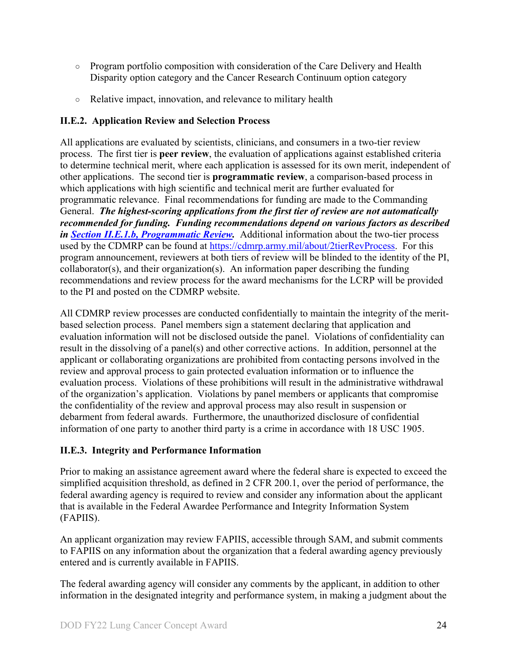- Program portfolio composition with consideration of the Care Delivery and Health Disparity option category and the Cancer Research Continuum option category
- Relative impact, innovation, and relevance to military health

#### <span id="page-23-0"></span>**II.E.2. Application Review and Selection Process**

All applications are evaluated by scientists, clinicians, and consumers in a two-tier review process. The first tier is **peer review**, the evaluation of applications against established criteria to determine technical merit, where each application is assessed for its own merit, independent of other applications. The second tier is **programmatic review**, a comparison-based process in which applications with high scientific and technical merit are further evaluated for programmatic relevance. Final recommendations for funding are made to the Commanding General. *The highest-scoring applications from the first tier of review are not automatically recommended for funding. Funding recommendations depend on various factors as described in Section [II.E.1.b, Programmatic Review.](#page-22-0)* Additional information about the two-tier process used by the CDMRP can be found at [https://cdmrp.army.mil/about/2tierRevProcess.](http://cdmrp.army.mil/about/2tierRevProcess) For this program announcement, reviewers at both tiers of review will be blinded to the identity of the PI, collaborator(s), and their organization(s). An information paper describing the funding recommendations and review process for the award mechanisms for the LCRP will be provided to the PI and posted on the CDMRP website.

All CDMRP review processes are conducted confidentially to maintain the integrity of the meritbased selection process. Panel members sign a statement declaring that application and evaluation information will not be disclosed outside the panel. Violations of confidentiality can result in the dissolving of a panel(s) and other corrective actions. In addition, personnel at the applicant or collaborating organizations are prohibited from contacting persons involved in the review and approval process to gain protected evaluation information or to influence the evaluation process. Violations of these prohibitions will result in the administrative withdrawal of the organization's application. Violations by panel members or applicants that compromise the confidentiality of the review and approval process may also result in suspension or debarment from federal awards. Furthermore, the unauthorized disclosure of confidential information of one party to another third party is a crime in accordance with 18 USC 1905.

#### <span id="page-23-1"></span>**II.E.3. Integrity and Performance Information**

Prior to making an assistance agreement award where the federal share is expected to exceed the simplified acquisition threshold, as defined in 2 CFR 200.1, over the period of performance, the federal awarding agency is required to review and consider any information about the applicant that is available in the Federal Awardee Performance and Integrity Information System (FAPIIS).

An applicant organization may review FAPIIS, accessible through SAM, and submit comments to FAPIIS on any information about the organization that a federal awarding agency previously entered and is currently available in FAPIIS.

The federal awarding agency will consider any comments by the applicant, in addition to other information in the designated integrity and performance system, in making a judgment about the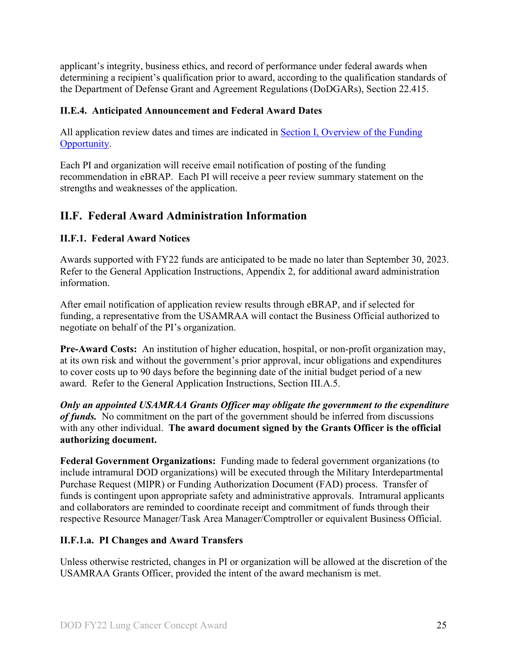applicant's integrity, business ethics, and record of performance under federal awards when determining a recipient's qualification prior to award, according to the qualification standards of the Department of Defense Grant and Agreement Regulations (DoDGARs), Section 22.415.

#### <span id="page-24-0"></span>**II.E.4. Anticipated Announcement and Federal Award Dates**

All application review dates and times are indicated in [Section I, Overview of the Funding](#page-0-1)  [Opportunity.](#page-0-1)

Each PI and organization will receive email notification of posting of the funding recommendation in eBRAP. Each PI will receive a peer review summary statement on the strengths and weaknesses of the application.

## <span id="page-24-1"></span>**II.F. Federal Award Administration Information**

#### <span id="page-24-2"></span>**II.F.1. Federal Award Notices**

Awards supported with FY22 funds are anticipated to be made no later than September 30, 2023. Refer to the General Application Instructions, Appendix 2, for additional award administration information.

After email notification of application review results through eBRAP, and if selected for funding, a representative from the USAMRAA will contact the Business Official authorized to negotiate on behalf of the PI's organization.

**Pre-Award Costs:** An institution of higher education, hospital, or non-profit organization may, at its own risk and without the government's prior approval, incur obligations and expenditures to cover costs up to 90 days before the beginning date of the initial budget period of a new award. Refer to the General Application Instructions, Section III.A.5.

*Only an appointed USAMRAA Grants Officer may obligate the government to the expenditure of funds.* No commitment on the part of the government should be inferred from discussions with any other individual. **The award document signed by the Grants Officer is the official authorizing document.**

Federal Government Organizations: Funding made to federal government organizations (to include intramural DOD organizations) will be executed through the Military Interdepartmental Purchase Request (MIPR) or Funding Authorization Document (FAD) process. Transfer of funds is contingent upon appropriate safety and administrative approvals. Intramural applicants and collaborators are reminded to coordinate receipt and commitment of funds through their respective Resource Manager/Task Area Manager/Comptroller or equivalent Business Official.

#### **II.F.1.a. PI Changes and Award Transfers**

Unless otherwise restricted, changes in PI or organization will be allowed at the discretion of the USAMRAA Grants Officer, provided the intent of the award mechanism is met.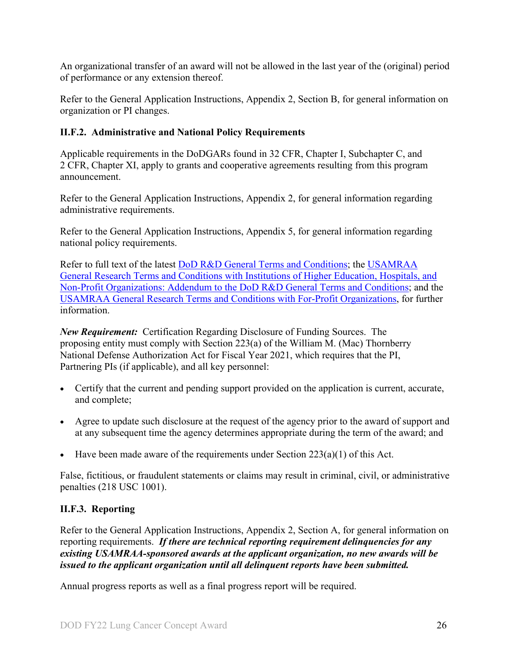An organizational transfer of an award will not be allowed in the last year of the (original) period of performance or any extension thereof.

Refer to the General Application Instructions, Appendix 2, Section B, for general information on organization or PI changes.

#### <span id="page-25-0"></span>**II.F.2. Administrative and National Policy Requirements**

Applicable requirements in the DoDGARs found in 32 CFR, Chapter I, Subchapter C, and 2 CFR, Chapter XI, apply to grants and cooperative agreements resulting from this program announcement.

Refer to the General Application Instructions, Appendix 2, for general information regarding administrative requirements.

Refer to the General Application Instructions, Appendix 5, for general information regarding national policy requirements.

Refer to full text of the latest **DoD R&D General Terms and Conditions**; the USAMRAA [General Research Terms and Conditions with Institutions of Higher Education, Hospitals, and](https://www.usamraa.army.mil/Pages/Resources.aspx)  [Non-Profit Organizations: Addendum to the DoD](https://www.usamraa.army.mil/Pages/Resources.aspx) R&D General Terms and Conditions; and the [USAMRAA General Research Terms and Conditions with For-Profit Organizations,](https://www.usamraa.army.mil/Pages/Resources.aspx) for further information.

*New Requirement:* Certification Regarding Disclosure of Funding Sources. The proposing entity must comply with Section 223(a) of the William M. (Mac) Thornberry National Defense Authorization Act for Fiscal Year 2021, which requires that the PI, Partnering PIs (if applicable), and all key personnel:

- Certify that the current and pending support provided on the application is current, accurate, and complete;
- Agree to update such disclosure at the request of the agency prior to the award of support and at any subsequent time the agency determines appropriate during the term of the award; and
- Have been made aware of the requirements under Section  $223(a)(1)$  of this Act.

False, fictitious, or fraudulent statements or claims may result in criminal, civil, or administrative penalties (218 USC 1001).

## <span id="page-25-1"></span>**II.F.3. Reporting**

Refer to the General Application Instructions, Appendix 2, Section A, for general information on reporting requirements. *If there are technical reporting requirement delinquencies for any existing USAMRAA-sponsored awards at the applicant organization, no new awards will be issued to the applicant organization until all delinquent reports have been submitted.*

Annual progress reports as well as a final progress report will be required.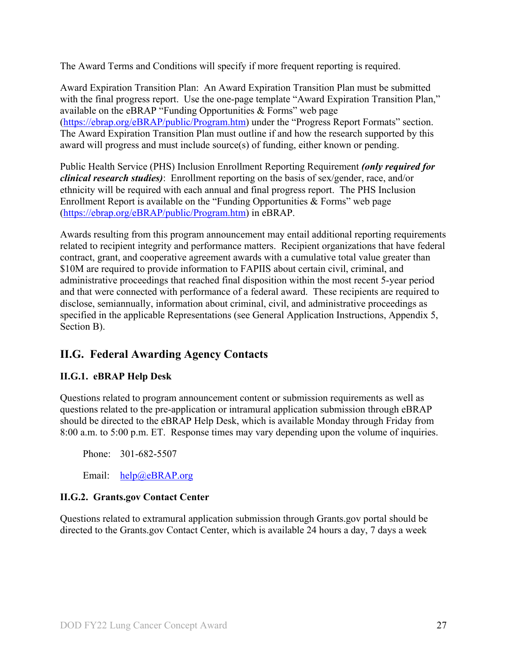The Award Terms and Conditions will specify if more frequent reporting is required.

Award Expiration Transition Plan: An Award Expiration Transition Plan must be submitted with the final progress report. Use the one-page template "Award Expiration Transition Plan," available on the eBRAP "Funding Opportunities & Forms" web page [\(https://ebrap.org/eBRAP/public/Program.htm\)](https://ebrap.org/eBRAP/public/Program.htm) under the "Progress Report Formats" section. The Award Expiration Transition Plan must outline if and how the research supported by this award will progress and must include source(s) of funding, either known or pending.

Public Health Service (PHS) Inclusion Enrollment Reporting Requirement *(only required for clinical research studies)*: Enrollment reporting on the basis of sex/gender, race, and/or ethnicity will be required with each annual and final progress report. The PHS Inclusion Enrollment Report is available on the "Funding Opportunities & Forms" web page [\(https://ebrap.org/eBRAP/public/Program.htm\)](https://ebrap.org/eBRAP/public/Program.htm) in eBRAP.

Awards resulting from this program announcement may entail additional reporting requirements related to recipient integrity and performance matters. Recipient organizations that have federal contract, grant, and cooperative agreement awards with a cumulative total value greater than \$10M are required to provide information to FAPIIS about certain civil, criminal, and administrative proceedings that reached final disposition within the most recent 5-year period and that were connected with performance of a federal award. These recipients are required to disclose, semiannually, information about criminal, civil, and administrative proceedings as specified in the applicable Representations (see General Application Instructions, Appendix 5, Section B).

## <span id="page-26-0"></span>**II.G. Federal Awarding Agency Contacts**

## <span id="page-26-1"></span>**II.G.1. eBRAP Help Desk**

Questions related to program announcement content or submission requirements as well as questions related to the pre-application or intramural application submission through eBRAP should be directed to the eBRAP Help Desk, which is available Monday through Friday from 8:00 a.m. to 5:00 p.m. ET. Response times may vary depending upon the volume of inquiries.

Phone: 301-682-5507

Email: [help@eBRAP.org](mailto:help@eBRAP.org)

#### <span id="page-26-2"></span>**II.G.2. Grants.gov Contact Center**

Questions related to extramural application submission through Grants.gov portal should be directed to the Grants.gov Contact Center, which is available 24 hours a day, 7 days a week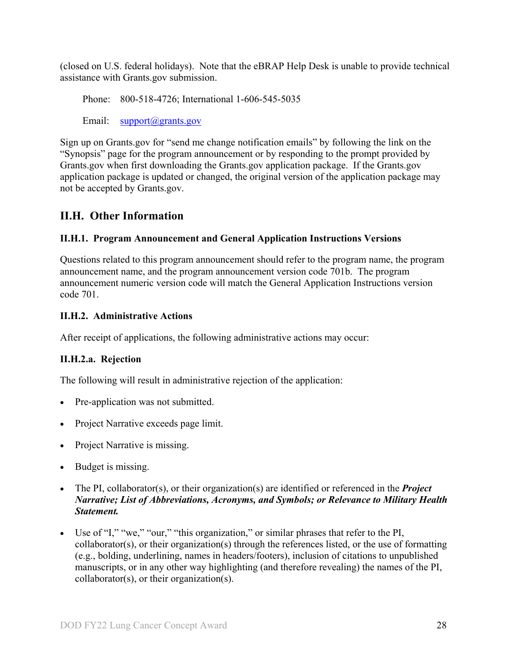(closed on U.S. federal holidays). Note that the eBRAP Help Desk is unable to provide technical assistance with Grants.gov submission.

Phone: 800-518-4726; International 1-606-545-5035

Email: [support@grants.gov](mailto:support@grants.gov)

Sign up on Grants.gov for "send me change notification emails" by following the link on the "Synopsis" page for the program announcement or by responding to the prompt provided by Grants.gov when first downloading the Grants.gov application package. If the Grants.gov application package is updated or changed, the original version of the application package may not be accepted by Grants.gov.

## <span id="page-27-0"></span>**II.H. Other Information**

## <span id="page-27-1"></span>**II.H.1. Program Announcement and General Application Instructions Versions**

Questions related to this program announcement should refer to the program name, the program announcement name, and the program announcement version code 701b. The program announcement numeric version code will match the General Application Instructions version code 701.

#### <span id="page-27-2"></span>**II.H.2. Administrative Actions**

After receipt of applications, the following administrative actions may occur:

## **II.H.2.a. Rejection**

The following will result in administrative rejection of the application:

- Pre-application was not submitted.
- Project Narrative exceeds page limit.
- Project Narrative is missing.
- Budget is missing.
- The PI, collaborator(s), or their organization(s) are identified or referenced in the *Project Narrative; List of Abbreviations, Acronyms, and Symbols; or Relevance to Military Health Statement.*
- Use of "I," "we," "our," "this organization," or similar phrases that refer to the PI, collaborator(s), or their organization(s) through the references listed, or the use of formatting (e.g., bolding, underlining, names in headers/footers), inclusion of citations to unpublished manuscripts, or in any other way highlighting (and therefore revealing) the names of the PI, collaborator(s), or their organization(s).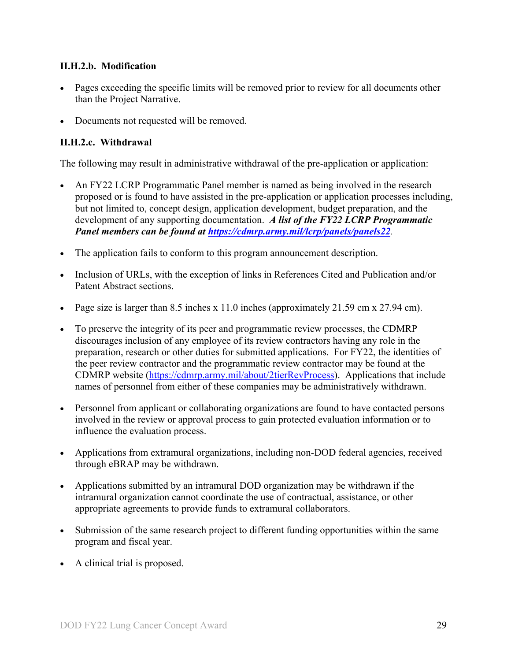#### **II.H.2.b. Modification**

- Pages exceeding the specific limits will be removed prior to review for all documents other than the Project Narrative.
- Documents not requested will be removed.

## <span id="page-28-0"></span>**II.H.2.c. Withdrawal**

The following may result in administrative withdrawal of the pre-application or application:

- An FY22 LCRP Programmatic Panel member is named as being involved in the research proposed or is found to have assisted in the pre-application or application processes including, but not limited to, concept design, application development, budget preparation, and the development of any supporting documentation. *A list of the FY22 LCRP Programmatic Panel members can be found at<https://cdmrp.army.mil/lcrp/panels/panels22>.*
- The application fails to conform to this program announcement description.
- Inclusion of URLs, with the exception of links in References Cited and Publication and/or Patent Abstract sections.
- Page size is larger than 8.5 inches x 11.0 inches (approximately 21.59 cm x 27.94 cm).
- To preserve the integrity of its peer and programmatic review processes, the CDMRP discourages inclusion of any employee of its review contractors having any role in the preparation, research or other duties for submitted applications. For FY22, the identities of the peer review contractor and the programmatic review contractor may be found at the CDMRP website [\(https://cdmrp.army.mil/about/2tierRevProcess\)](https://cdmrp.army.mil/about/2tierRevProcess). Applications that include names of personnel from either of these companies may be administratively withdrawn.
- Personnel from applicant or collaborating organizations are found to have contacted persons involved in the review or approval process to gain protected evaluation information or to influence the evaluation process.
- Applications from extramural organizations, including non-DOD federal agencies, received through eBRAP may be withdrawn.
- Applications submitted by an intramural DOD organization may be withdrawn if the intramural organization cannot coordinate the use of contractual, assistance, or other appropriate agreements to provide funds to extramural collaborators.
- Submission of the same research project to different funding opportunities within the same program and fiscal year.
- A clinical trial is proposed.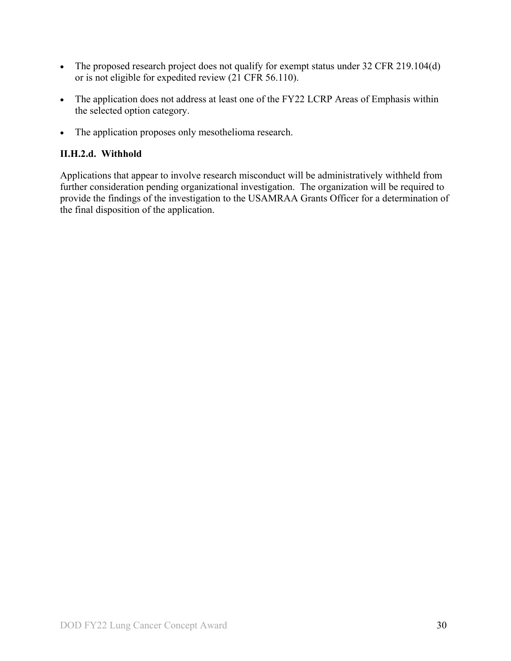- The proposed research project does not qualify for exempt status under 32 CFR 219.104(d) or is not eligible for expedited review (21 CFR 56.110).
- The application does not address at least one of the FY22 LCRP Areas of Emphasis within the selected option category.
- The application proposes only mesothelioma research.

#### **II.H.2.d. Withhold**

Applications that appear to involve research misconduct will be administratively withheld from further consideration pending organizational investigation. The organization will be required to provide the findings of the investigation to the USAMRAA Grants Officer for a determination of the final disposition of the application.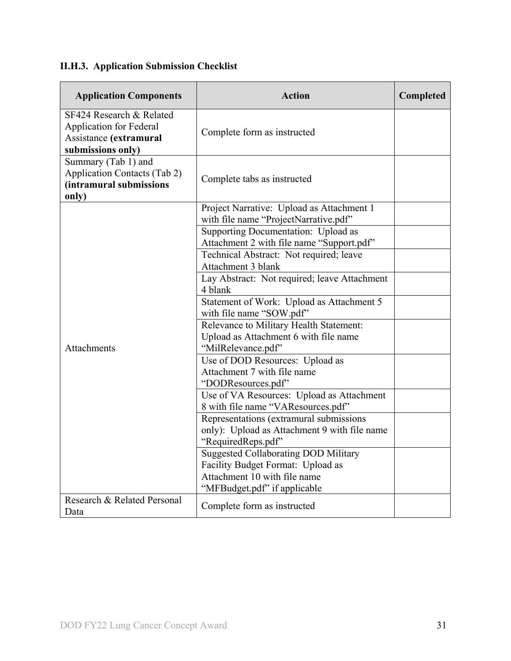# <span id="page-30-0"></span>**II.H.3. Application Submission Checklist**

| <b>Application Components</b>                                                                             | <b>Action</b>                                                                                                                                    | Completed |
|-----------------------------------------------------------------------------------------------------------|--------------------------------------------------------------------------------------------------------------------------------------------------|-----------|
| SF424 Research & Related<br><b>Application for Federal</b><br>Assistance (extramural<br>submissions only) | Complete form as instructed                                                                                                                      |           |
| Summary (Tab 1) and<br><b>Application Contacts (Tab 2)</b><br>(intramural submissions<br>only)            | Complete tabs as instructed                                                                                                                      |           |
|                                                                                                           | Project Narrative: Upload as Attachment 1<br>with file name "ProjectNarrative.pdf"                                                               |           |
|                                                                                                           | Supporting Documentation: Upload as<br>Attachment 2 with file name "Support.pdf"                                                                 |           |
|                                                                                                           | Technical Abstract: Not required; leave<br>Attachment 3 blank                                                                                    |           |
|                                                                                                           | Lay Abstract: Not required; leave Attachment<br>4 blank                                                                                          |           |
|                                                                                                           | Statement of Work: Upload as Attachment 5<br>with file name "SOW.pdf"                                                                            |           |
| Attachments                                                                                               | Relevance to Military Health Statement:<br>Upload as Attachment 6 with file name<br>"MilRelevance.pdf"                                           |           |
|                                                                                                           | Use of DOD Resources: Upload as<br>Attachment 7 with file name<br>"DODResources.pdf"                                                             |           |
|                                                                                                           | Use of VA Resources: Upload as Attachment<br>8 with file name "VAResources.pdf"                                                                  |           |
|                                                                                                           | Representations (extramural submissions<br>only): Upload as Attachment 9 with file name<br>"RequiredReps.pdf"                                    |           |
|                                                                                                           | <b>Suggested Collaborating DOD Military</b><br>Facility Budget Format: Upload as<br>Attachment 10 with file name<br>"MFBudget.pdf" if applicable |           |
| Research & Related Personal<br>Data                                                                       | Complete form as instructed                                                                                                                      |           |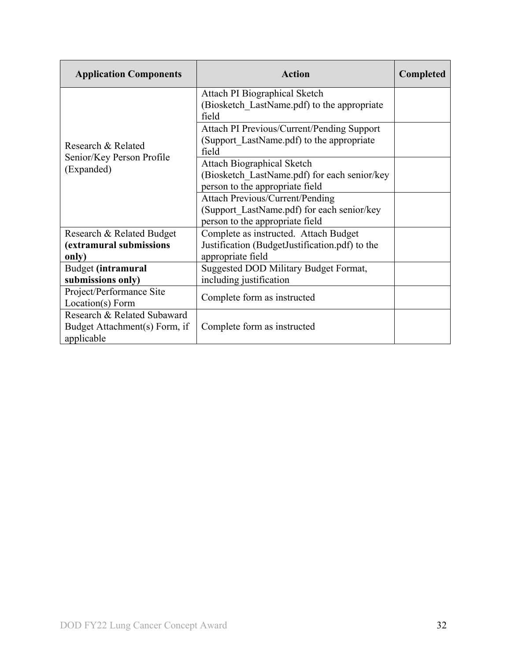| <b>Application Components</b>                                              | Action                                                                                                                  | <b>Completed</b> |
|----------------------------------------------------------------------------|-------------------------------------------------------------------------------------------------------------------------|------------------|
|                                                                            | Attach PI Biographical Sketch<br>(Biosketch LastName.pdf) to the appropriate<br>field                                   |                  |
| Research & Related                                                         | Attach PI Previous/Current/Pending Support<br>(Support LastName.pdf) to the appropriate<br>field                        |                  |
| Senior/Key Person Profile<br>(Expanded)                                    | <b>Attach Biographical Sketch</b><br>(Biosketch LastName.pdf) for each senior/key<br>person to the appropriate field    |                  |
|                                                                            | <b>Attach Previous/Current/Pending</b><br>(Support LastName.pdf) for each senior/key<br>person to the appropriate field |                  |
| Research & Related Budget<br>(extramural submissions<br>only)              | Complete as instructed. Attach Budget<br>Justification (BudgetJustification.pdf) to the<br>appropriate field            |                  |
| Budget (intramural<br>submissions only)                                    | Suggested DOD Military Budget Format,<br>including justification                                                        |                  |
| Project/Performance Site<br>Location(s) Form                               | Complete form as instructed                                                                                             |                  |
| Research & Related Subaward<br>Budget Attachment(s) Form, if<br>applicable | Complete form as instructed                                                                                             |                  |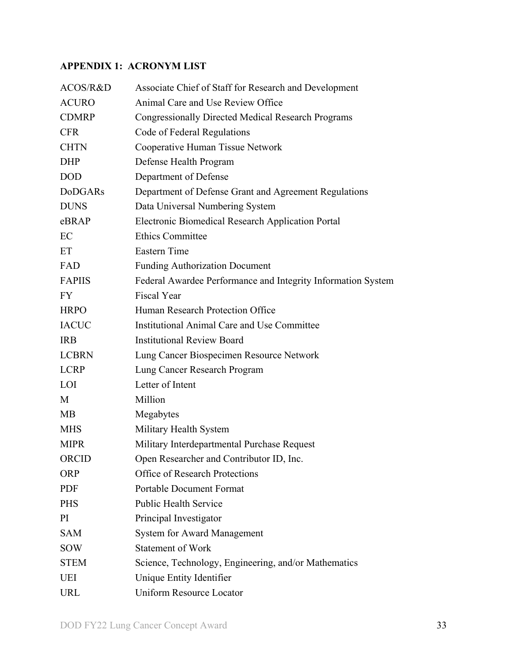## <span id="page-32-0"></span>**APPENDIX 1: ACRONYM LIST**

| ACOS/R&D       | Associate Chief of Staff for Research and Development        |
|----------------|--------------------------------------------------------------|
| <b>ACURO</b>   | Animal Care and Use Review Office                            |
| <b>CDMRP</b>   | <b>Congressionally Directed Medical Research Programs</b>    |
| <b>CFR</b>     | Code of Federal Regulations                                  |
| <b>CHTN</b>    | Cooperative Human Tissue Network                             |
| <b>DHP</b>     | Defense Health Program                                       |
| <b>DOD</b>     | Department of Defense                                        |
| <b>DoDGARs</b> | Department of Defense Grant and Agreement Regulations        |
| <b>DUNS</b>    | Data Universal Numbering System                              |
| eBRAP          | Electronic Biomedical Research Application Portal            |
| EC             | <b>Ethics Committee</b>                                      |
| ET             | <b>Eastern Time</b>                                          |
| FAD            | <b>Funding Authorization Document</b>                        |
| <b>FAPIIS</b>  | Federal Awardee Performance and Integrity Information System |
| <b>FY</b>      | <b>Fiscal Year</b>                                           |
| <b>HRPO</b>    | Human Research Protection Office                             |
| <b>IACUC</b>   | Institutional Animal Care and Use Committee                  |
| <b>IRB</b>     | <b>Institutional Review Board</b>                            |
| <b>LCBRN</b>   | Lung Cancer Biospecimen Resource Network                     |
| <b>LCRP</b>    | Lung Cancer Research Program                                 |
| LOI            | Letter of Intent                                             |
| M              | Million                                                      |
| <b>MB</b>      | Megabytes                                                    |
| <b>MHS</b>     | Military Health System                                       |
| <b>MIPR</b>    | Military Interdepartmental Purchase Request                  |
| <b>ORCID</b>   | Open Researcher and Contributor ID, Inc.                     |
| <b>ORP</b>     | <b>Office of Research Protections</b>                        |
| <b>PDF</b>     | <b>Portable Document Format</b>                              |
| <b>PHS</b>     | <b>Public Health Service</b>                                 |
| PI             | Principal Investigator                                       |
| <b>SAM</b>     | <b>System for Award Management</b>                           |
| <b>SOW</b>     | <b>Statement of Work</b>                                     |
| <b>STEM</b>    | Science, Technology, Engineering, and/or Mathematics         |
| UEI            | Unique Entity Identifier                                     |
| <b>URL</b>     | <b>Uniform Resource Locator</b>                              |